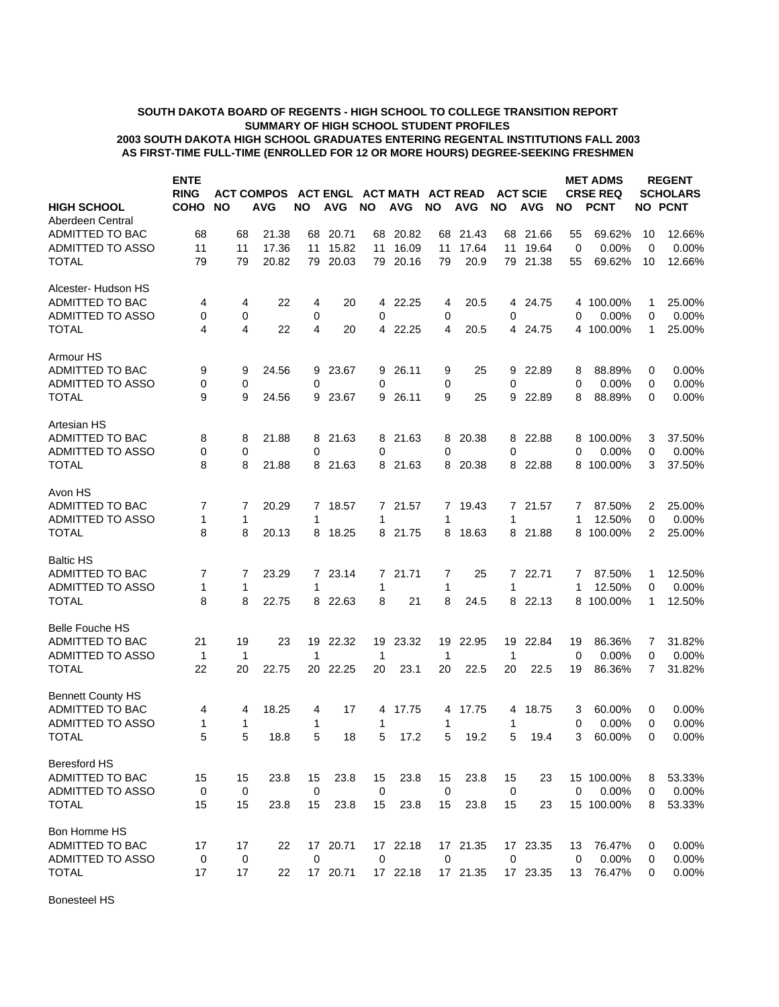## **SUMMARY OF HIGH SCHOOL STUDENT PROFILES SOUTH DAKOTA BOARD OF REGENTS - HIGH SCHOOL TO COLLEGE TRANSITION REPORT AS FIRST-TIME FULL-TIME (ENROLLED FOR 12 OR MORE HOURS) DEGREE-SEEKING FRESHMEN 2003 SOUTH DAKOTA HIGH SCHOOL GRADUATES ENTERING REGENTAL INSTITUTIONS FALL 2003**

|                                        | <b>ENTE</b><br><b>RING</b> |              | <b>ACT COMPOS</b> |              | <b>ACT ENGL</b> |                | ACT MATH ACT READ |             |            |             | <b>ACT SCIE</b> |                | <b>MET ADMS</b><br><b>CRSE REQ</b> |        | <b>REGENT</b><br><b>SCHOLARS</b> |
|----------------------------------------|----------------------------|--------------|-------------------|--------------|-----------------|----------------|-------------------|-------------|------------|-------------|-----------------|----------------|------------------------------------|--------|----------------------------------|
| <b>HIGH SCHOOL</b><br>Aberdeen Central | <b>COHO</b>                | <b>NO</b>    | AVG               | <b>NO</b>    | <b>AVG</b>      | <b>NO</b>      | <b>AVG</b>        | <b>NO</b>   | <b>AVG</b> | <b>NO</b>   | <b>AVG</b>      | <b>NO</b>      | <b>PCNT</b>                        |        | <b>NO PCNT</b>                   |
| <b>ADMITTED TO BAC</b>                 | 68                         | 68           | 21.38             | 68           | 20.71           | 68             | 20.82             | 68          | 21.43      |             | 68 21.66        | 55             | 69.62%                             | 10     | 12.66%                           |
| ADMITTED TO ASSO                       | 11                         | 11           | 17.36             | 11           | 15.82           | 11             | 16.09             | 11          | 17.64      | 11          | 19.64           | 0              | 0.00%                              | 0      | 0.00%                            |
| <b>TOTAL</b>                           | 79                         | 79           | 20.82             | 79           | 20.03           | 79             | 20.16             | 79          | 20.9       |             | 79 21.38        | 55             | 69.62%                             | 10     | 12.66%                           |
| Alcester- Hudson HS                    |                            |              |                   |              |                 |                |                   |             |            |             |                 |                |                                    |        |                                  |
| ADMITTED TO BAC                        | 4                          | 4            | 22                | 4            | 20              |                | 4 22.25           | 4           | 20.5       |             | 4 24.75         |                | 4 100.00%                          | 1      | 25.00%                           |
| ADMITTED TO ASSO                       | 0                          | 0            |                   | 0            |                 | 0              |                   | 0           |            | 0           |                 | 0              | 0.00%                              | 0      | 0.00%                            |
| <b>TOTAL</b>                           | 4                          | 4            | 22                | 4            | 20              |                | 4 22.25           | 4           | 20.5       |             | 4 24.75         |                | 4 100.00%                          | 1      | 25.00%                           |
| Armour HS                              |                            |              |                   |              |                 |                |                   |             |            |             |                 |                |                                    |        |                                  |
| <b>ADMITTED TO BAC</b>                 | 9                          | 9            | 24.56             | 9            | 23.67           | 9              | 26.11             | 9           | 25         | 9           | 22.89           | 8              | 88.89%                             | 0      | $0.00\%$                         |
| ADMITTED TO ASSO                       | 0                          | 0            |                   | 0            |                 | 0              |                   | 0           |            | 0           |                 | 0              | $0.00\%$                           | 0      | 0.00%                            |
| <b>TOTAL</b>                           | 9                          | 9            | 24.56             | 9            | 23.67           | 9              | 26.11             | 9           | 25         | 9           | 22.89           | 8              | 88.89%                             | 0      | 0.00%                            |
| Artesian HS                            |                            |              |                   |              |                 |                |                   |             |            |             |                 |                |                                    |        |                                  |
| <b>ADMITTED TO BAC</b>                 | 8                          | 8            | 21.88             |              | 8 21.63         |                | 8 21.63           | 8           | 20.38      |             | 8 22.88         |                | 8 100.00%                          | 3      | 37.50%                           |
| ADMITTED TO ASSO<br><b>TOTAL</b>       | 0<br>8                     | 0<br>8       | 21.88             | 0<br>8       | 21.63           | 0              | 8 21.63           | 0<br>8      | 20.38      | 0           | 8 22.88         | 0              | 0.00%<br>8 100.00%                 | 0<br>3 | 0.00%<br>37.50%                  |
|                                        |                            |              |                   |              |                 |                |                   |             |            |             |                 |                |                                    |        |                                  |
| Avon HS                                |                            |              |                   |              |                 |                |                   |             |            |             |                 |                |                                    |        |                                  |
| <b>ADMITTED TO BAC</b>                 | 7                          | 7            | 20.29             |              | 7 18.57         |                | 7 21.57           | 7           | 19.43      |             | 7 21.57         | 7              | 87.50%                             | 2      | 25.00%                           |
| ADMITTED TO ASSO                       | 1                          | 1            |                   | 1            |                 | 1              |                   | 1           |            | 1           |                 | 1              | 12.50%                             | 0      | 0.00%                            |
| <b>TOTAL</b>                           | 8                          | 8            | 20.13             | 8            | 18.25           | 8              | 21.75             | 8           | 18.63      | 8           | 21.88           |                | 8 100.00%                          | 2      | 25.00%                           |
| <b>Baltic HS</b>                       |                            |              |                   |              |                 |                |                   |             |            |             |                 |                |                                    |        |                                  |
| ADMITTED TO BAC                        | 7                          | 7            | 23.29             |              | 7 23.14         | 7              | 21.71             | 7           | 25         | 7           | 22.71           | 7              | 87.50%                             | 1      | 12.50%                           |
| ADMITTED TO ASSO                       | 1                          | $\mathbf{1}$ |                   | 1            |                 | 1              |                   | 1           |            | 1           |                 | 1              | 12.50%                             | 0      | 0.00%                            |
| <b>TOTAL</b>                           | 8                          | 8            | 22.75             |              | 8 22.63         | 8              | 21                | 8           | 24.5       |             | 8 22.13         |                | 8 100.00%                          | 1      | 12.50%                           |
| <b>Belle Fouche HS</b>                 |                            |              |                   |              |                 |                |                   |             |            |             |                 |                |                                    |        |                                  |
| ADMITTED TO BAC                        | 21                         | 19           | 23                | 19           | 22.32           | 19             | 23.32             | 19          | 22.95      | 19          | 22.84           | 19             | 86.36%                             | 7      | 31.82%                           |
| ADMITTED TO ASSO                       | 1                          | 1            |                   | $\mathbf{1}$ |                 | $\mathbf 1$    |                   | 1           |            | 1           |                 | 0              | 0.00%                              | 0      | 0.00%                            |
| <b>TOTAL</b>                           | 22                         | 20           | 22.75             | 20           | 22.25           | 20             | 23.1              | 20          | 22.5       | 20          | 22.5            | 19             | 86.36%                             | 7      | 31.82%                           |
| <b>Bennett County HS</b>               |                            |              |                   |              |                 |                |                   |             |            |             |                 |                |                                    |        |                                  |
| ADMITTED TO BAC                        | 4                          | 4            | 18.25             | 4            | 17              | 4              | 17.75             | 4           | 17.75      | 4           | 18.75           | 3              | 60.00%                             | 0      | $0.00\%$                         |
| ADMITTED TO ASSO                       | 1                          | 1            |                   | 1            |                 | 1              |                   | 1           |            | 1           |                 | 0              | 0.00%                              | 0      | $0.00\%$                         |
| <b>TOTAL</b>                           | 5                          |              | 5<br>18.8         | 5            | 18              | 5 <sup>5</sup> | 17.2              | 5           | 19.2       | 5           | 19.4            | 3 <sup>1</sup> | 60.00%                             | 0      | 0.00%                            |
| <b>Beresford HS</b>                    |                            |              |                   |              |                 |                |                   |             |            |             |                 |                |                                    |        |                                  |
| ADMITTED TO BAC                        | 15                         | 15           | 23.8              | 15           | 23.8            | 15             | 23.8              | 15          | 23.8       | 15          | 23              |                | 15 100.00%                         | 8      | 53.33%                           |
| ADMITTED TO ASSO                       | $\mathbf 0$                | 0            |                   | $\mathbf 0$  |                 | $\mathbf 0$    |                   | $\mathbf 0$ |            | 0           |                 | 0              | 0.00%                              | 0      | 0.00%                            |
| <b>TOTAL</b>                           | 15                         | 15           | 23.8              | 15           | 23.8            | 15             | 23.8              | 15          | 23.8       | 15          | 23              |                | 15 100.00%                         | 8      | 53.33%                           |
| Bon Homme HS                           |                            |              |                   |              |                 |                |                   |             |            |             |                 |                |                                    |        |                                  |
| ADMITTED TO BAC                        | 17                         | 17           | 22                |              | 17 20.71        |                | 17 22.18          |             | 17 21.35   |             | 17 23.35        | 13             | 76.47%                             | 0      | 0.00%                            |
| ADMITTED TO ASSO                       | 0                          | 0            |                   | $\mathbf 0$  |                 | $\mathbf 0$    |                   | $\mathbf 0$ |            | $\mathbf 0$ |                 | 0              | 0.00%                              | 0      | 0.00%                            |
| <b>TOTAL</b>                           | 17                         | 17           | 22                |              | 17 20.71        |                | 17 22.18          |             | 17 21.35   |             | 17 23.35        | 13             | 76.47%                             | 0      | 0.00%                            |

Bonesteel HS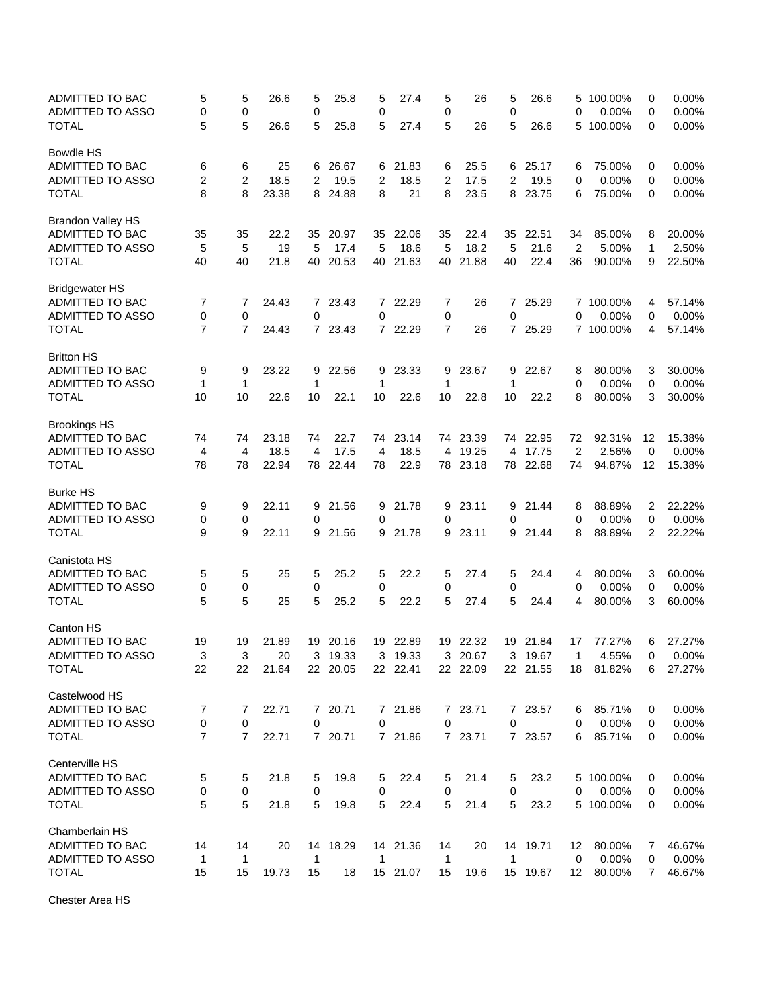| ADMITTED TO BAC<br>ADMITTED TO ASSO | 5<br>0         | 5<br>0         | 26.6  | 5<br>0       | 25.8     | 5<br>0         | 27.4     | 5<br>0         | 26       | 5<br>$\mathbf 0$ | 26.6     | 5<br>0          | 100.00%<br>0.00% | 0<br>0 | 0.00%<br>0.00% |
|-------------------------------------|----------------|----------------|-------|--------------|----------|----------------|----------|----------------|----------|------------------|----------|-----------------|------------------|--------|----------------|
| <b>TOTAL</b>                        | 5              | 5              | 26.6  | 5            | 25.8     | 5              | 27.4     | 5              | 26       | 5                | 26.6     | 5               | 100.00%          | 0      | 0.00%          |
| <b>Bowdle HS</b>                    |                |                |       |              |          |                |          |                |          |                  |          |                 |                  |        |                |
| ADMITTED TO BAC                     | 6              | 6              | 25    | 6            | 26.67    |                | 6 21.83  | 6              | 25.5     | 6                | 25.17    | 6               | 75.00%           | 0      | 0.00%          |
| ADMITTED TO ASSO                    | $\overline{2}$ | $\overline{2}$ | 18.5  | 2            | 19.5     | $\overline{2}$ | 18.5     | $\overline{2}$ | 17.5     | $\overline{2}$   | 19.5     | 0               | 0.00%            | 0      | 0.00%          |
| <b>TOTAL</b>                        | 8              | 8              | 23.38 |              | 8 24.88  | 8              | 21       | 8              | 23.5     | 8                | 23.75    | 6               | 75.00%           | 0      | 0.00%          |
| <b>Brandon Valley HS</b>            |                |                |       |              |          |                |          |                |          |                  |          |                 |                  |        |                |
| ADMITTED TO BAC                     | 35             | 35             | 22.2  | 35           | 20.97    | 35             | 22.06    | 35             | 22.4     | 35               | 22.51    | 34              | 85.00%           | 8      | 20.00%         |
| <b>ADMITTED TO ASSO</b>             | 5              | 5              | 19    | 5            | 17.4     | 5              | 18.6     | 5              | 18.2     | 5                | 21.6     | 2               | 5.00%            | 1      | 2.50%          |
| <b>TOTAL</b>                        | 40             | 40             | 21.8  | 40           | 20.53    | 40             | 21.63    | 40             | 21.88    | 40               | 22.4     | 36              | 90.00%           | 9      | 22.50%         |
| <b>Bridgewater HS</b>               |                |                |       |              |          |                |          |                |          |                  |          |                 |                  |        |                |
| ADMITTED TO BAC                     | 7              | 7              | 24.43 |              | 7 23.43  | $7^{\circ}$    | 22.29    | 7              | 26       | 7                | 25.29    |                 | 7 100.00%        | 4      | 57.14%         |
| ADMITTED TO ASSO                    | 0              | 0              |       | 0            |          | $\mathbf 0$    |          | 0              |          | $\mathbf 0$      |          | 0               | 0.00%            | 0      | 0.00%          |
| TOTAL                               | $\overline{7}$ | $\overline{7}$ | 24.43 |              | 7 23.43  |                | 7 22.29  | 7              | 26       |                  | 7 25.29  |                 | 7 100.00%        | 4      | 57.14%         |
| <b>Britton HS</b>                   |                |                |       |              |          |                |          |                |          |                  |          |                 |                  |        |                |
| ADMITTED TO BAC                     | 9              | 9              | 23.22 | 9            | 22.56    | 9              | 23.33    | 9              | 23.67    | 9                | 22.67    | 8               | 80.00%           | 3      | 30.00%         |
| ADMITTED TO ASSO                    | $\mathbf{1}$   | 1              |       | 1            |          | $\mathbf{1}$   |          | 1              |          | 1                |          | 0               | 0.00%            | 0      | 0.00%          |
| <b>TOTAL</b>                        | 10             | 10             | 22.6  | 10           | 22.1     | 10             | 22.6     | 10             | 22.8     | 10               | 22.2     | 8               | 80.00%           | 3      | 30.00%         |
| <b>Brookings HS</b>                 |                |                |       |              |          |                |          |                |          |                  |          |                 |                  |        |                |
| <b>ADMITTED TO BAC</b>              | 74             | 74             | 23.18 | 74           | 22.7     | 74             | 23.14    |                | 74 23.39 |                  | 74 22.95 | 72              | 92.31%           | 12     | 15.38%         |
| ADMITTED TO ASSO                    | $\overline{4}$ | $\overline{4}$ | 18.5  | 4            | 17.5     | 4              | 18.5     | 4              | 19.25    | 4                | 17.75    | 2               | 2.56%            | 0      | 0.00%          |
| <b>TOTAL</b>                        | 78             | 78             | 22.94 | 78           | 22.44    | 78             | 22.9     |                | 78 23.18 |                  | 78 22.68 | 74              | 94.87%           | 12     | 15.38%         |
| <b>Burke HS</b>                     |                |                |       |              |          |                |          |                |          |                  |          |                 |                  |        |                |
| ADMITTED TO BAC                     | 9              | 9              | 22.11 | 9            | 21.56    | 9              | 21.78    | 9              | 23.11    | 9                | 21.44    | 8               | 88.89%           | 2      | 22.22%         |
| ADMITTED TO ASSO                    | 0              | 0              |       | 0            |          | 0              |          | 0              |          | 0                |          | 0               | 0.00%            | 0      | 0.00%          |
| <b>TOTAL</b>                        | 9              | 9              | 22.11 | 9            | 21.56    | 9              | 21.78    | 9              | 23.11    | 9                | 21.44    | 8               | 88.89%           | 2      | 22.22%         |
| Canistota HS                        |                |                |       |              |          |                |          |                |          |                  |          |                 |                  |        |                |
| ADMITTED TO BAC                     | 5              | 5              | 25    | 5            | 25.2     | 5              | 22.2     | 5              | 27.4     | 5                | 24.4     | 4               | 80.00%           | 3      | 60.00%         |
| ADMITTED TO ASSO                    | 0              | 0              |       | 0            |          | 0              |          | 0              |          | 0                |          | 0               | 0.00%            | 0      | 0.00%          |
| <b>TOTAL</b>                        | 5              | 5              | 25    | 5            | 25.2     | 5              | 22.2     | 5              | 27.4     | 5                | 24.4     | 4               | 80.00%           | 3      | 60.00%         |
| <b>Canton HS</b>                    |                |                |       |              |          |                |          |                |          |                  |          |                 |                  |        |                |
| ADMITTED TO BAC                     | 19             | 19             | 21.89 | 19           | 20.16    | 19             | 22.89    | 19             | 22.32    | 19               | 21.84    | 17              | 77.27%           | 6      | 27.27%         |
| <b>ADMITTED TO ASSO</b>             | 3              | 3              | 20    | 3            | 19.33    | 3              | 19.33    | 3              | 20.67    | 3                | 19.67    | 1               | 4.55%            | 0      | 0.00%          |
| <b>TOTAL</b>                        | 22             | 22             | 21.64 |              | 22 20.05 |                | 22 22.41 |                | 22 22.09 |                  | 22 21.55 |                 | 18 81.82%        | 6      | 27.27%         |
| Castelwood HS                       |                |                |       |              |          |                |          |                |          |                  |          |                 |                  |        |                |
| ADMITTED TO BAC                     | 7              | 7              | 22.71 |              | 7 20.71  |                | 7 21.86  |                | 7 23.71  |                  | 7 23.57  | 6               | 85.71%           | 0      | 0.00%          |
| ADMITTED TO ASSO                    | 0              | 0              |       | 0            |          | 0              |          | 0              |          | 0                |          | 0               | 0.00%            | 0      | 0.00%          |
| <b>TOTAL</b>                        | $\overline{7}$ | $\overline{7}$ | 22.71 |              | 7 20.71  |                | 7 21.86  |                | 7 23.71  |                  | 7 23.57  | 6               | 85.71%           | 0      | 0.00%          |
| Centerville HS                      |                |                |       |              |          |                |          |                |          |                  |          |                 |                  |        |                |
| ADMITTED TO BAC                     | 5              | 5              | 21.8  | 5            | 19.8     | 5              | 22.4     | 5              | 21.4     | 5                | 23.2     |                 | 5 100.00%        | 0      | 0.00%          |
| ADMITTED TO ASSO                    | 0              | 0              |       | $\mathbf 0$  |          | 0              |          | 0              |          | 0                |          | 0               | 0.00%            | 0      | 0.00%          |
| <b>TOTAL</b>                        | 5              | 5              | 21.8  | 5            | 19.8     | 5              | 22.4     | 5              | 21.4     | 5                | 23.2     |                 | 5 100.00%        | 0      | 0.00%          |
| Chamberlain HS                      |                |                |       |              |          |                |          |                |          |                  |          |                 |                  |        |                |
| ADMITTED TO BAC                     | 14             | 14             | 20    |              | 14 18.29 |                | 14 21.36 | 14             | 20       |                  | 14 19.71 | 12              | 80.00%           | 7      | 46.67%         |
| ADMITTED TO ASSO                    | $\mathbf{1}$   | 1              |       | $\mathbf{1}$ |          | $\mathbf{1}$   |          | $\mathbf{1}$   |          | $\mathbf{1}$     |          | $\mathbf 0$     | 0.00%            | 0      | 0.00%          |
| <b>TOTAL</b>                        | 15             | 15             | 19.73 | 15           | 18       |                | 15 21.07 | 15             | 19.6     |                  | 15 19.67 | 12 <sup>2</sup> | 80.00%           | 7      | 46.67%         |

Chester Area HS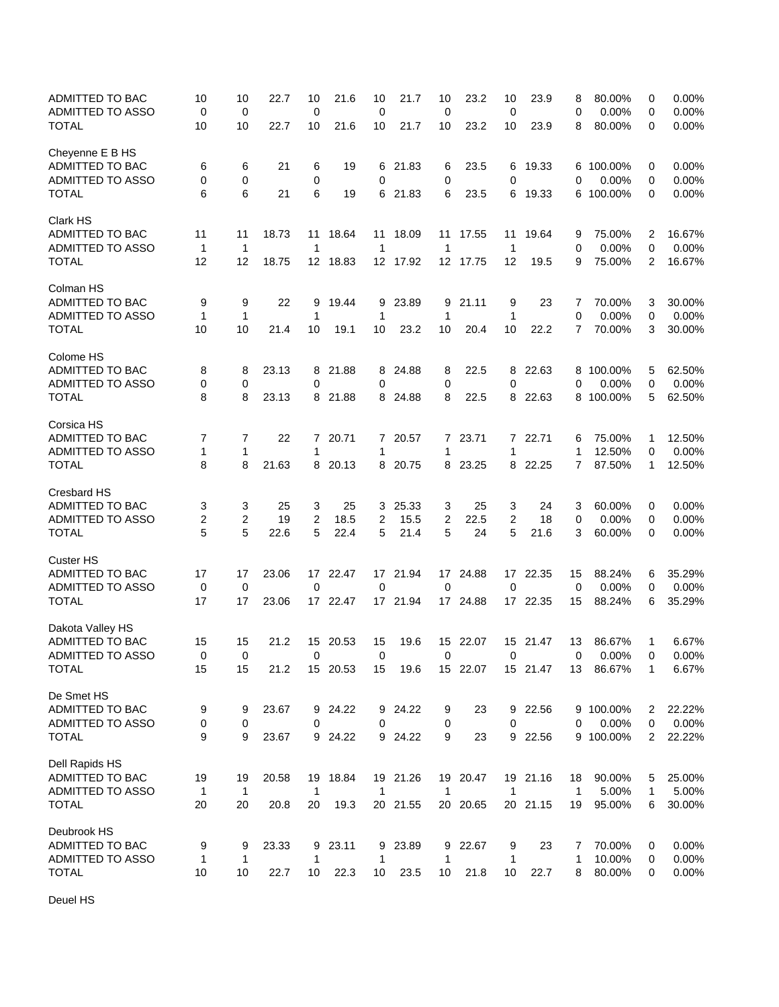| ADMITTED TO BAC<br><b>ADMITTED TO ASSO</b> | 10<br>0           | 10<br>0     | 22.7  | 10<br>0           | 21.6     | 10<br>0      | 21.7     | 10<br>0      | 23.2     | 10<br>$\mathbf 0$  | 23.9     | 8<br>0 | 80.00%<br>0.00%  | 0<br>0       | 0.00%<br>0.00% |
|--------------------------------------------|-------------------|-------------|-------|-------------------|----------|--------------|----------|--------------|----------|--------------------|----------|--------|------------------|--------------|----------------|
| <b>TOTAL</b>                               | 10                | 10          | 22.7  | 10                | 21.6     | 10           | 21.7     | 10           | 23.2     | 10                 | 23.9     | 8      | 80.00%           | 0            | 0.00%          |
| Cheyenne E B HS<br>ADMITTED TO BAC         | 6                 | 6           | 21    | 6                 | 19       | 6            | 21.83    | 6            | 23.5     | 6                  | 19.33    |        | 6 100.00%        | 0            | 0.00%          |
| ADMITTED TO ASSO                           | 0                 | 0           |       | 0                 |          | 0            |          | 0            |          | 0                  |          | 0      | 0.00%            | 0            | 0.00%          |
| <b>TOTAL</b>                               | 6                 | 6           | 21    | 6                 | 19       |              | 6 21.83  | 6            | 23.5     | 6                  | 19.33    |        | 6 100.00%        | 0            | 0.00%          |
| Clark HS                                   |                   |             |       |                   |          |              |          |              |          |                    |          |        |                  |              |                |
| <b>ADMITTED TO BAC</b>                     | 11                | 11          | 18.73 | 11                | 18.64    | 11           | 18.09    | 11           | 17.55    | 11                 | 19.64    | 9      | 75.00%           | 2            | 16.67%         |
| <b>ADMITTED TO ASSO</b>                    | $\mathbf{1}$      | $\mathbf 1$ |       | 1                 |          | -1           |          | 1            |          | $\mathbf{1}$       |          | 0      | 0.00%            | 0            | 0.00%          |
| <b>TOTAL</b>                               | 12                | 12          | 18.75 | 12 <sup>12</sup>  | 18.83    |              | 12 17.92 |              | 12 17.75 | 12                 | 19.5     | 9      | 75.00%           | 2            | 16.67%         |
| Colman HS                                  |                   |             |       |                   |          |              |          |              |          |                    |          |        |                  |              |                |
| ADMITTED TO BAC                            | 9                 | 9           | 22    | 9                 | 19.44    | 9            | 23.89    | 9            | 21.11    | 9                  | 23       | 7      | 70.00%           | 3            | 30.00%         |
| ADMITTED TO ASSO                           | $\mathbf 1$       | $\mathbf 1$ |       | 1                 |          | 1            |          | 1            |          | 1                  |          | 0      | 0.00%            | 0            | 0.00%          |
| <b>TOTAL</b>                               | 10                | 10          | 21.4  | 10                | 19.1     | 10           | 23.2     | 10           | 20.4     | 10                 | 22.2     | 7      | 70.00%           | 3            | 30.00%         |
| Colome HS                                  |                   |             |       |                   |          |              |          |              |          |                    |          |        |                  |              |                |
| ADMITTED TO BAC                            | 8                 | 8           | 23.13 | 8                 | 21.88    | 8            | 24.88    | 8            | 22.5     | 8                  | 22.63    | 8      | 100.00%          | 5            | 62.50%         |
| ADMITTED TO ASSO                           | 0                 | 0           |       | 0                 |          | 0            |          | 0            |          | 0                  |          | 0      | 0.00%            | 0            | 0.00%          |
| <b>TOTAL</b>                               | 8                 | 8           | 23.13 | 8                 | 21.88    | 8            | 24.88    | 8            | 22.5     | 8                  | 22.63    |        | 8 100.00%        | 5            | 62.50%         |
| Corsica HS<br>ADMITTED TO BAC              | 7                 | 7           | 22    |                   | 7 20.71  |              | 7 20.57  |              | 7 23.71  |                    | 7 22.71  | 6      | 75.00%           | 1            | 12.50%         |
| <b>ADMITTED TO ASSO</b>                    | $\mathbf 1$       | 1           |       | 1                 |          | 1            |          | 1            |          | 1                  |          | 1      | 12.50%           | 0            | 0.00%          |
| <b>TOTAL</b>                               | 8                 | 8           | 21.63 | 8                 | 20.13    |              | 8 20.75  | 8            | 23.25    | 8                  | 22.25    | 7      | 87.50%           | 1            | 12.50%         |
| Cresbard HS                                |                   |             |       |                   |          |              |          |              |          |                    |          |        |                  |              |                |
| ADMITTED TO BAC                            | 3                 | 3           | 25    | 3                 | 25       | 3            | 25.33    | 3            | 25       | 3                  | 24       | 3      | 60.00%           | 0            | 0.00%          |
| ADMITTED TO ASSO                           | $\mathbf{2}$      | 2           | 19    | 2                 | 18.5     | 2            | 15.5     | 2            | 22.5     | $\overline{2}$     | 18       | 0      | 0.00%            | 0            | 0.00%          |
| <b>TOTAL</b>                               | 5                 | 5           | 22.6  | 5                 | 22.4     | 5            | 21.4     | 5            | 24       | 5                  | 21.6     | 3      | 60.00%           | 0            | 0.00%          |
| <b>Custer HS</b>                           |                   |             |       |                   |          |              |          |              |          |                    |          |        |                  |              |                |
| ADMITTED TO BAC                            | 17                | 17          | 23.06 |                   | 17 22.47 |              | 17 21.94 | 17           | 24.88    |                    | 17 22.35 | 15     | 88.24%           | 6            | 35.29%         |
| ADMITTED TO ASSO                           | 0                 | 0           |       | 0                 |          | 0            |          | 0            |          | 0                  |          | 0      | 0.00%            | 0            | 0.00%          |
| <b>TOTAL</b>                               | 17                | 17          | 23.06 |                   | 17 22.47 |              | 17 21.94 |              | 17 24.88 |                    | 17 22.35 | 15     | 88.24%           | 6            | 35.29%         |
| Dakota Valley HS<br>ADMITTED TO BAC        | 15                | 15          | 21.2  | 15                | 20.53    | 15           | 19.6     | 15           | 22.07    | 15                 | 21.47    | 13     | 86.67%           | 1            | 6.67%          |
| ADMITTED TO ASSO                           | $\Omega$          | 0           |       | $\mathbf 0$       |          | 0            |          | 0            |          | $\mathbf 0$        |          | 0      | 0.00%            | 0            | 0.00%          |
| <b>TOTAL</b>                               | 15                | 15          | 21.2  |                   | 15 20.53 | 15           | 19.6     |              | 15 22.07 |                    | 15 21.47 | 13     | 86.67%           | 1            | 6.67%          |
| De Smet HS                                 |                   |             |       |                   |          |              |          |              |          |                    |          |        |                  |              |                |
| ADMITTED TO BAC                            | 9                 | 9           | 23.67 |                   | 9 24.22  |              | 9 24.22  | 9            | 23       | 9                  | 22.56    |        | 9 100.00%        | 2            | 22.22%         |
| ADMITTED TO ASSO                           | 0                 | 0           |       | 0                 |          | 0            |          | 0            |          | 0                  |          | 0      | 0.00%            | 0            | 0.00%          |
| <b>TOTAL</b>                               | 9                 | 9           | 23.67 |                   | 9 24.22  |              | 9 24.22  | 9            | 23       | 9                  | 22.56    |        | 9 100.00%        | 2            | 22.22%         |
| Dell Rapids HS                             |                   |             |       |                   |          |              |          |              |          |                    |          |        |                  |              |                |
| ADMITTED TO BAC                            | 19                | 19          | 20.58 | 19                | 18.84    |              | 19 21.26 |              | 19 20.47 |                    | 19 21.16 | 18     | 90.00%           | 5            | 25.00%         |
| ADMITTED TO ASSO                           | $\mathbf{1}$      | 1           |       | $\mathbf 1$       |          | $\mathbf{1}$ |          | $\mathbf{1}$ |          | $\mathbf{1}$       |          | 1      | 5.00%            | $\mathbf{1}$ | 5.00%          |
| <b>TOTAL</b>                               | 20                | 20          | 20.8  | 20                | 19.3     |              | 20 21.55 |              | 20 20.65 |                    | 20 21.15 | 19     | 95.00%           | 6            | 30.00%         |
| Deubrook HS                                |                   |             |       |                   |          |              |          |              |          |                    |          |        |                  |              |                |
| ADMITTED TO BAC                            | 9                 | 9           | 23.33 | 9                 | 23.11    |              | 9 23.89  | 9            | 22.67    | 9                  | 23       | 7      | 70.00%           | 0            | 0.00%          |
| ADMITTED TO ASSO<br><b>TOTAL</b>           | $\mathbf 1$<br>10 | 1<br>10     | 22.7  | $\mathbf 1$<br>10 | 22.3     | 1<br>10      | 23.5     | 1<br>10      | 21.8     | $\mathbf{1}$<br>10 | 22.7     | 1<br>8 | 10.00%<br>80.00% | 0<br>0       | 0.00%<br>0.00% |
|                                            |                   |             |       |                   |          |              |          |              |          |                    |          |        |                  |              |                |

Deuel HS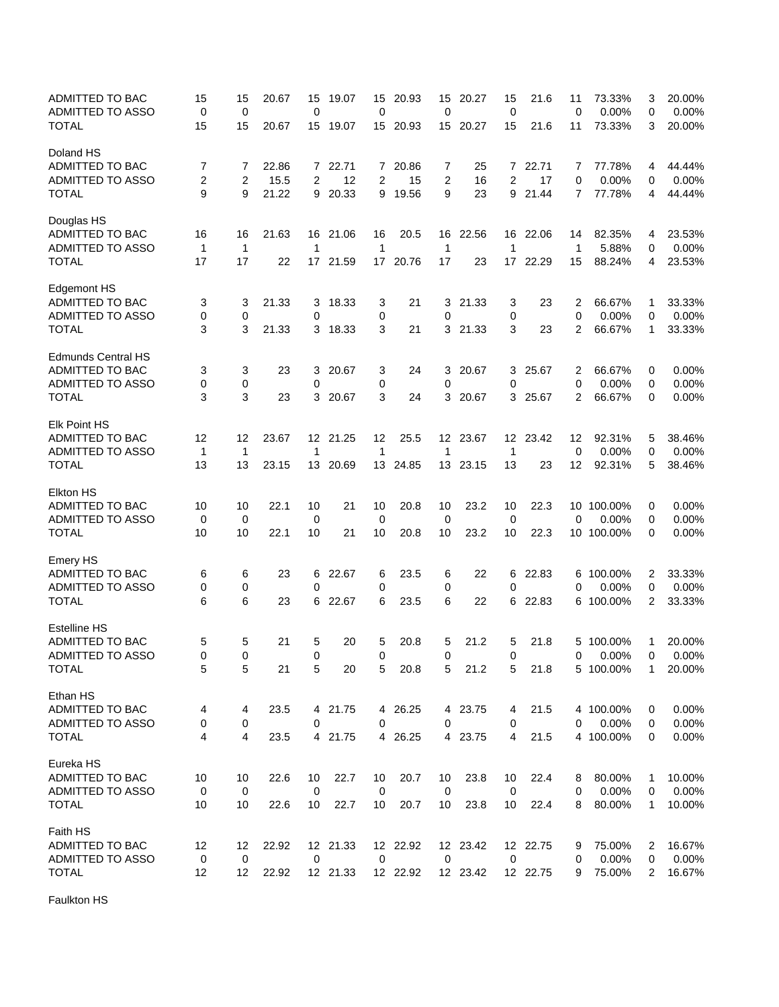| ADMITTED TO BAC<br><b>ADMITTED TO ASSO</b> | 15<br>0        | 15<br>0        | 20.67 | 15<br>0     | 19.07    | 15<br>0        | 20.93    | 15<br>0        | 20.27    | 15<br>0        | 21.6     | 11<br>0     | 73.33%<br>0.00%     | 3<br>0       | 20.00%<br>0.00% |
|--------------------------------------------|----------------|----------------|-------|-------------|----------|----------------|----------|----------------|----------|----------------|----------|-------------|---------------------|--------------|-----------------|
| <b>TOTAL</b>                               | 15             | 15             | 20.67 | 15          | 19.07    | 15             | 20.93    | 15             | 20.27    | 15             | 21.6     | 11          | 73.33%              | 3            | 20.00%          |
| Doland HS                                  |                |                |       |             |          |                |          |                |          |                |          |             |                     |              |                 |
| <b>ADMITTED TO BAC</b>                     | 7              | 7              | 22.86 |             | 7 22.71  |                | 7 20.86  | 7              | 25       | 7              | 22.71    | 7           | 77.78%              | 4            | 44.44%          |
| ADMITTED TO ASSO                           | $\overline{2}$ | $\overline{c}$ | 15.5  | 2           | 12       | $\overline{2}$ | 15       | $\overline{2}$ | 16       | $\overline{2}$ | 17       | $\mathbf 0$ | 0.00%               | 0            | 0.00%           |
| <b>TOTAL</b>                               | 9              | 9              | 21.22 | 9           | 20.33    | 9              | 19.56    | 9              | 23       | 9              | 21.44    | 7           | 77.78%              | 4            | 44.44%          |
| Douglas HS                                 |                |                |       |             |          |                |          |                |          |                |          |             |                     |              |                 |
| ADMITTED TO BAC                            | 16             | 16             | 21.63 | 16          | 21.06    | 16             | 20.5     | 16             | 22.56    | 16             | 22.06    | 14          | 82.35%              | 4            | 23.53%          |
| ADMITTED TO ASSO                           | 1              | 1              |       | 1           |          | $\mathbf 1$    |          | 1              |          | $\mathbf{1}$   |          | 1           | 5.88%               | 0            | 0.00%           |
| <b>TOTAL</b>                               | 17             | 17             | 22    | 17          | 21.59    | 17             | 20.76    | 17             | 23       | 17             | 22.29    | 15          | 88.24%              | 4            | 23.53%          |
| <b>Edgemont HS</b>                         |                |                |       |             |          |                |          |                |          |                |          |             |                     |              |                 |
| ADMITTED TO BAC                            | 3              | 3              | 21.33 | 3           | 18.33    | 3              | 21       | 3              | 21.33    | 3              | 23       | 2           | 66.67%              | 1            | 33.33%          |
| ADMITTED TO ASSO                           | 0              | 0              |       | 0           |          | 0              |          | 0              |          | 0              |          | 0           | 0.00%               | 0            | 0.00%           |
| <b>TOTAL</b>                               | 3              | 3              | 21.33 | 3           | 18.33    | 3              | 21       | 3              | 21.33    | 3              | 23       | 2           | 66.67%              | 1            | 33.33%          |
| <b>Edmunds Central HS</b>                  |                |                |       |             |          |                |          |                |          |                |          |             |                     |              |                 |
| ADMITTED TO BAC                            | 3              | 3              | 23    | 3           | 20.67    | 3              | 24       | 3              | 20.67    | 3              | 25.67    | 2           | 66.67%              | 0            | 0.00%           |
| ADMITTED TO ASSO                           | 0              | 0              |       | 0           |          | 0              |          | 0              |          | 0              |          | 0           | 0.00%               | 0            | 0.00%           |
| <b>TOTAL</b>                               | 3              | 3              | 23    | 3           | 20.67    | 3              | 24       | 3              | 20.67    | 3              | 25.67    | 2           | 66.67%              | 0            | 0.00%           |
| <b>Elk Point HS</b>                        |                |                |       |             |          |                |          |                |          |                |          |             |                     |              |                 |
| ADMITTED TO BAC                            | 12             | 12             | 23.67 |             | 12 21.25 | 12             | 25.5     |                | 12 23.67 |                | 12 23.42 | 12          | 92.31%              | 5            | 38.46%          |
| ADMITTED TO ASSO                           | $\mathbf 1$    | 1              |       | 1           |          | 1              |          | 1              |          | 1              |          | $\mathbf 0$ | 0.00%               | 0            | 0.00%           |
| <b>TOTAL</b>                               | 13             | 13             |       | 13          | 20.69    |                | 13 24.85 |                |          | 13             | 23       | 12          |                     | 5            | 38.46%          |
|                                            |                |                | 23.15 |             |          |                |          |                | 13 23.15 |                |          |             | 92.31%              |              |                 |
| <b>Elkton HS</b><br>ADMITTED TO BAC        | 10             | 10             | 22.1  | 10          | 21       | 10             | 20.8     | 10             | 23.2     | 10             | 22.3     |             | 10 100.00%          | 0            | 0.00%           |
|                                            |                |                |       |             |          |                |          |                |          |                |          |             |                     |              |                 |
| ADMITTED TO ASSO<br><b>TOTAL</b>           | 0<br>10        | 0<br>10        | 22.1  | 0<br>10     | 21       | 0<br>10        | 20.8     | 0<br>10        | 23.2     | 0<br>10        | 22.3     | 0           | 0.00%<br>10 100.00% | 0<br>0       | 0.00%<br>0.00%  |
|                                            |                |                |       |             |          |                |          |                |          |                |          |             |                     |              |                 |
| <b>Emery HS</b>                            |                |                |       |             |          |                |          |                |          |                |          |             |                     |              |                 |
| ADMITTED TO BAC                            | 6              | 6              | 23    | 6           | 22.67    | 6              | 23.5     | 6              | 22       | 6              | 22.83    |             | 6 100.00%           | 2            | 33.33%          |
| ADMITTED TO ASSO                           | 0              | 0              |       | 0           |          | 0              |          | 0              |          | 0              |          | 0           | 0.00%               | 0            | 0.00%           |
| <b>TOTAL</b>                               | 6              | 6              | 23    | 6           | 22.67    | 6              | 23.5     | 6              | 22       | 6              | 22.83    |             | 6 100.00%           | 2            | 33.33%          |
| <b>Estelline HS</b>                        |                |                |       |             |          |                |          |                |          |                |          |             |                     |              |                 |
| ADMITTED TO BAC                            | 5              | 5              | 21    | 5           | 20       | 5              | 20.8     | 5              | 21.2     | 5              | 21.8     | 5           | 100.00%             | 1            | 20.00%          |
| <b>ADMITTED TO ASSO</b>                    | $\Omega$       | $\Omega$       |       | 0           |          | $\Omega$       |          | $\Omega$       |          | $\Omega$       |          | 0           | 0.00%               | $\Omega$     | 0.00%           |
| <b>TOTAL</b>                               | 5              | 5              | 21    | 5           | 20       | 5              | 20.8     | 5              | 21.2     | 5              | 21.8     |             | 5 100.00%           | 1            | 20.00%          |
| Ethan HS                                   |                |                |       |             |          |                |          |                |          |                |          |             |                     |              |                 |
| ADMITTED TO BAC                            | 4              | 4              | 23.5  |             | 4 21.75  |                | 4 26.25  |                | 4 23.75  | 4              | 21.5     |             | 4 100.00%           | 0            | 0.00%           |
| ADMITTED TO ASSO                           | 0              | 0              |       | 0           |          | 0              |          | 0              |          | 0              |          | 0           | 0.00%               | 0            | 0.00%           |
| <b>TOTAL</b>                               | $\overline{4}$ | 4              | 23.5  |             | 4 21.75  |                | 4 26.25  |                | 4 23.75  | 4              | 21.5     |             | 4 100.00%           | 0            | 0.00%           |
| Eureka HS                                  |                |                |       |             |          |                |          |                |          |                |          |             |                     |              |                 |
| ADMITTED TO BAC                            | 10             | 10             | 22.6  | 10          | 22.7     | 10             | 20.7     | 10             | 23.8     | 10             | 22.4     | 8           | 80.00%              | $\mathbf{1}$ | 10.00%          |
| ADMITTED TO ASSO                           | $\pmb{0}$      | $\mathbf 0$    |       | $\mathbf 0$ |          | $\mathbf 0$    |          | $\mathbf 0$    |          | $\mathbf 0$    |          | 0           | 0.00%               | 0            | 0.00%           |
| <b>TOTAL</b>                               | 10             | 10             | 22.6  | 10          | 22.7     | $10$           | 20.7     | 10             | 23.8     | 10             | 22.4     | 8           | 80.00%              | 1            | 10.00%          |
| Faith HS                                   |                |                |       |             |          |                |          |                |          |                |          |             |                     |              |                 |
| ADMITTED TO BAC                            | 12             | 12             | 22.92 |             | 12 21.33 |                | 12 22.92 |                | 12 23.42 |                | 12 22.75 | 9           | 75.00%              | 2            | 16.67%          |
| ADMITTED TO ASSO                           | 0              | $\mathbf 0$    |       | 0           |          | 0              |          | 0              |          | $\mathbf 0$    |          | 0           | 0.00%               | 0            | 0.00%           |
| <b>TOTAL</b>                               | 12             | 12             | 22.92 |             | 12 21.33 |                | 12 22.92 |                | 12 23.42 |                | 12 22.75 | 9           | 75.00%              | 2            | 16.67%          |

Faulkton HS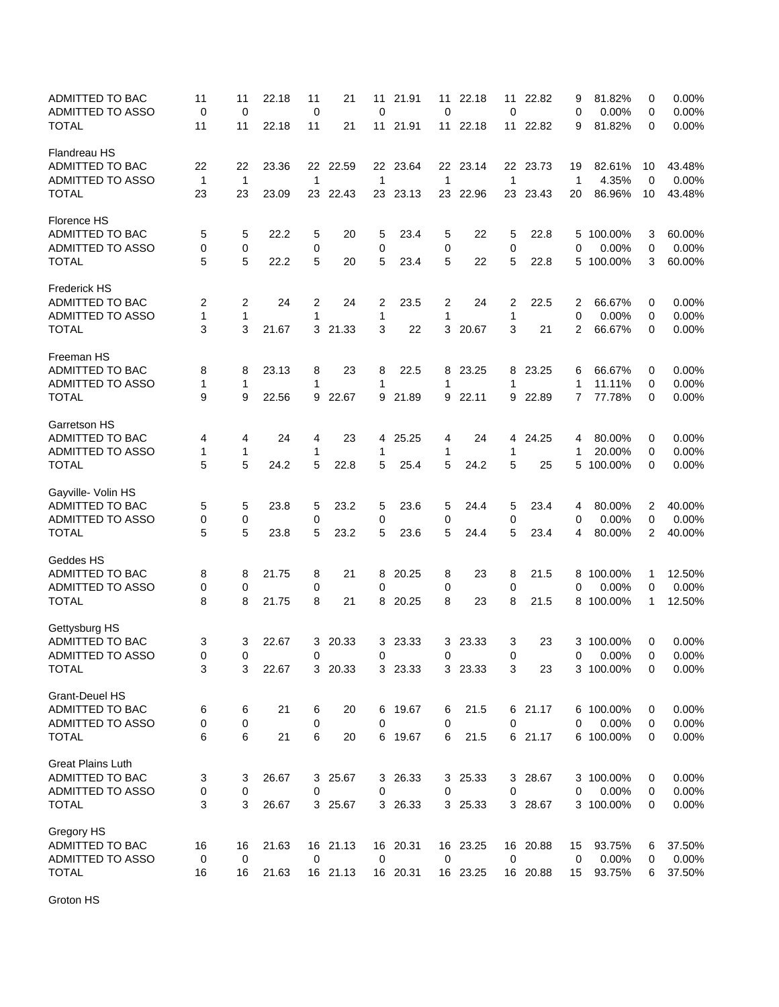| ADMITTED TO BAC<br><b>ADMITTED TO ASSO</b><br><b>TOTAL</b> | 11<br>0<br>11     | 11<br>$\mathbf 0$<br>11 | 22.18<br>22.18 | 11<br>0<br>11    | 21<br>21 | 11<br>$\mathbf 0$<br>11 | 21.91<br>21.91 | 11<br>0<br>11 | 22.18<br>22.18 | 11<br>0<br>11     | 22.82<br>22.82 | 9<br>0<br>9 | 81.82%<br>0.00%<br>81.82% | 0<br>0<br>0 | 0.00%<br>0.00%<br>0.00% |
|------------------------------------------------------------|-------------------|-------------------------|----------------|------------------|----------|-------------------------|----------------|---------------|----------------|-------------------|----------------|-------------|---------------------------|-------------|-------------------------|
| Flandreau HS                                               |                   |                         |                |                  |          |                         |                |               |                |                   |                |             |                           |             |                         |
| <b>ADMITTED TO BAC</b>                                     | 22                | 22                      | 23.36          |                  | 22 22.59 |                         | 22 23.64       |               | 22 23.14       |                   | 22 23.73       | 19          | 82.61%                    | 10          | 43.48%                  |
| ADMITTED TO ASSO                                           | $\mathbf{1}$      | $\mathbf{1}$            |                | $\mathbf{1}$     |          | $\mathbf 1$             |                | 1             |                | $\mathbf{1}$      |                | 1           | 4.35%                     | 0           | 0.00%                   |
| <b>TOTAL</b>                                               | 23                | 23                      | 23.09          | 23               | 22.43    | 23                      | 23.13          | 23            | 22.96          | 23                | 23.43          | 20          | 86.96%                    | 10          | 43.48%                  |
| Florence HS                                                |                   |                         |                |                  |          |                         |                |               |                |                   |                |             |                           |             |                         |
| ADMITTED TO BAC                                            | 5                 | 5                       | 22.2           | 5                | 20       | 5                       | 23.4           | 5             | 22             | 5                 | 22.8           |             | 5 100.00%                 | 3           | 60.00%                  |
| ADMITTED TO ASSO                                           | 0                 | 0                       |                | 0                |          | 0                       |                | 0             |                | 0                 |                | 0           | 0.00%                     | 0           | 0.00%                   |
| <b>TOTAL</b>                                               | 5                 | 5                       | 22.2           | 5                | 20       | 5                       | 23.4           | 5             | 22             | 5                 | 22.8           |             | 5 100.00%                 | 3           | 60.00%                  |
| <b>Frederick HS</b>                                        |                   |                         |                |                  |          |                         |                |               |                |                   |                |             |                           |             |                         |
| ADMITTED TO BAC                                            | 2                 | 2                       | 24             | 2                | 24       | 2                       | 23.5           | 2             | 24             | 2                 | 22.5           | 2           | 66.67%                    | 0           | 0.00%                   |
| ADMITTED TO ASSO<br><b>TOTAL</b>                           | $\mathbf{1}$<br>3 | 1<br>3                  | 21.67          | 1                | 3 21.33  | 1<br>3                  | 22             | 1<br>3        | 20.67          | $\mathbf{1}$<br>3 | 21             | 0<br>2      | 0.00%<br>66.67%           | 0<br>0      | 0.00%<br>0.00%          |
|                                                            |                   |                         |                |                  |          |                         |                |               |                |                   |                |             |                           |             |                         |
| Freeman HS<br>ADMITTED TO BAC                              | 8                 | 8                       | 23.13          | 8                | 23       | 8                       | 22.5           | 8             | 23.25          | 8                 | 23.25          | 6           | 66.67%                    | 0           | 0.00%                   |
| ADMITTED TO ASSO                                           | $\mathbf 1$       | 1                       |                | 1                |          | 1                       |                | 1             |                | 1                 |                | 1           | 11.11%                    | 0           | 0.00%                   |
| <b>TOTAL</b>                                               | 9                 | 9                       | 22.56          | 9                | 22.67    | 9                       | 21.89          | 9             | 22.11          | 9                 | 22.89          | 7           | 77.78%                    | 0           | 0.00%                   |
| Garretson HS                                               |                   |                         |                |                  |          |                         |                |               |                |                   |                |             |                           |             |                         |
| <b>ADMITTED TO BAC</b>                                     | 4                 | 4                       | 24             | 4                | 23       | 4                       | 25.25          | 4             | 24             | 4                 | 24.25          | 4           | 80.00%                    | 0           | 0.00%                   |
| ADMITTED TO ASSO                                           | 1                 | 1                       |                | 1                |          | 1                       |                | 1             |                | 1                 |                | 1           | 20.00%                    | 0           | 0.00%                   |
| <b>TOTAL</b>                                               | 5                 | 5                       | 24.2           | 5                | 22.8     | 5                       | 25.4           | 5             | 24.2           | 5                 | 25             |             | 5 100.00%                 | 0           | 0.00%                   |
| Gayville- Volin HS                                         |                   |                         |                |                  |          |                         |                |               |                |                   |                |             |                           |             |                         |
| ADMITTED TO BAC<br>ADMITTED TO ASSO                        | 5                 | 5                       | 23.8           | 5                | 23.2     | 5                       | 23.6           | 5             | 24.4           | 5                 | 23.4           | 4           | 80.00%<br>0.00%           | 2           | 40.00%<br>0.00%         |
| <b>TOTAL</b>                                               | 0<br>5            | 0<br>5                  | 23.8           | 0<br>5           | 23.2     | 0<br>5                  | 23.6           | 0<br>5        | 24.4           | 0<br>5            | 23.4           | 0<br>4      | 80.00%                    | 0<br>2      | 40.00%                  |
| Geddes HS                                                  |                   |                         |                |                  |          |                         |                |               |                |                   |                |             |                           |             |                         |
| ADMITTED TO BAC                                            | 8                 | 8                       | 21.75          | 8                | 21       | 8                       | 20.25          | 8             | 23             | 8                 | 21.5           |             | 8 100.00%                 | 1           | 12.50%                  |
| ADMITTED TO ASSO                                           | 0                 | 0                       |                | 0                |          | 0                       |                | 0             |                | 0                 |                | 0           | 0.00%                     | 0           | 0.00%                   |
| <b>TOTAL</b>                                               | 8                 | 8                       | 21.75          | 8                | 21       | 8                       | 20.25          | 8             | 23             | 8                 | 21.5           |             | 8 100.00%                 | 1           | 12.50%                  |
| Gettysburg HS                                              |                   |                         |                |                  |          |                         |                |               |                |                   |                |             |                           |             |                         |
| ADMITTED TO BAC                                            | 3                 | 3                       | 22.67          | 3                | 20.33    | 3                       | 23.33          | 3             | 23.33          | 3                 | 23             | 3           | 100.00%                   | 0           | 0.00%                   |
| ADMITTED TO ASSO                                           | $\Omega$          | $\Omega$                |                | $\mathbf 0$      |          | $\Omega$                |                | 0             |                | 0                 |                | 0           | 0.00%                     | $\Omega$    | 0.00%                   |
| <b>TOTAL</b>                                               | 3                 | 3                       | 22.67          |                  | 3 20.33  |                         | 3 23.33        |               | 3 23.33        | 3                 | 23             |             | 3 100.00%                 | 0           | 0.00%                   |
| Grant-Deuel HS                                             |                   |                         |                |                  |          |                         |                |               |                |                   |                |             |                           |             |                         |
| <b>ADMITTED TO BAC</b>                                     | 6                 | 6                       | 21             | 6                | 20       |                         | 6 19.67        | 6             | 21.5           |                   | 6 21.17        |             | 6 100.00%                 | 0           | $0.00\%$                |
| ADMITTED TO ASSO                                           | 0                 | 0                       |                | $\boldsymbol{0}$ |          | 0                       |                | 0             |                | 0                 |                | 0           | 0.00%                     | 0           | 0.00%                   |
| <b>TOTAL</b>                                               | 6                 | 6                       | 21             | 6                | 20       |                         | 6 19.67        | 6             | 21.5           |                   | 6 21.17        |             | 6 100.00%                 | 0           | 0.00%                   |
| <b>Great Plains Luth</b>                                   |                   |                         |                |                  |          |                         |                |               |                |                   |                |             |                           |             |                         |
| ADMITTED TO BAC                                            | 3                 | 3                       | 26.67          |                  | 3 25.67  |                         | 3 26.33        | 3             | 25.33          |                   | 3 28.67        |             | 3 100.00%                 | 0           | 0.00%                   |
| ADMITTED TO ASSO                                           | 0                 | $\pmb{0}$               |                | 0                |          | 0                       |                | 0             |                | 0                 |                | 0           | 0.00%                     | 0           | 0.00%                   |
| <b>TOTAL</b>                                               | 3                 | 3                       | 26.67          |                  | 3 25.67  |                         | 3 26.33        |               | 3 25.33        |                   | 3 28.67        |             | 3 100.00%                 | 0           | 0.00%                   |
| Gregory HS                                                 |                   |                         |                |                  |          |                         |                |               |                |                   |                |             |                           |             |                         |
| ADMITTED TO BAC                                            | 16                | 16                      | 21.63          |                  | 16 21.13 |                         | 16 20.31       |               | 16 23.25       |                   | 16 20.88       | 15          | 93.75%                    | 6           | 37.50%                  |
| ADMITTED TO ASSO                                           | $\pmb{0}$         | 0                       |                | 0                |          | 0                       |                | 0             |                | 0                 |                | 0           | 0.00%                     | 0           | 0.00%                   |
| <b>TOTAL</b>                                               | 16                | 16                      | 21.63          |                  | 16 21.13 |                         | 16 20.31       |               | 16 23.25       |                   | 16 20.88       | 15          | 93.75%                    | 6           | 37.50%                  |

Groton HS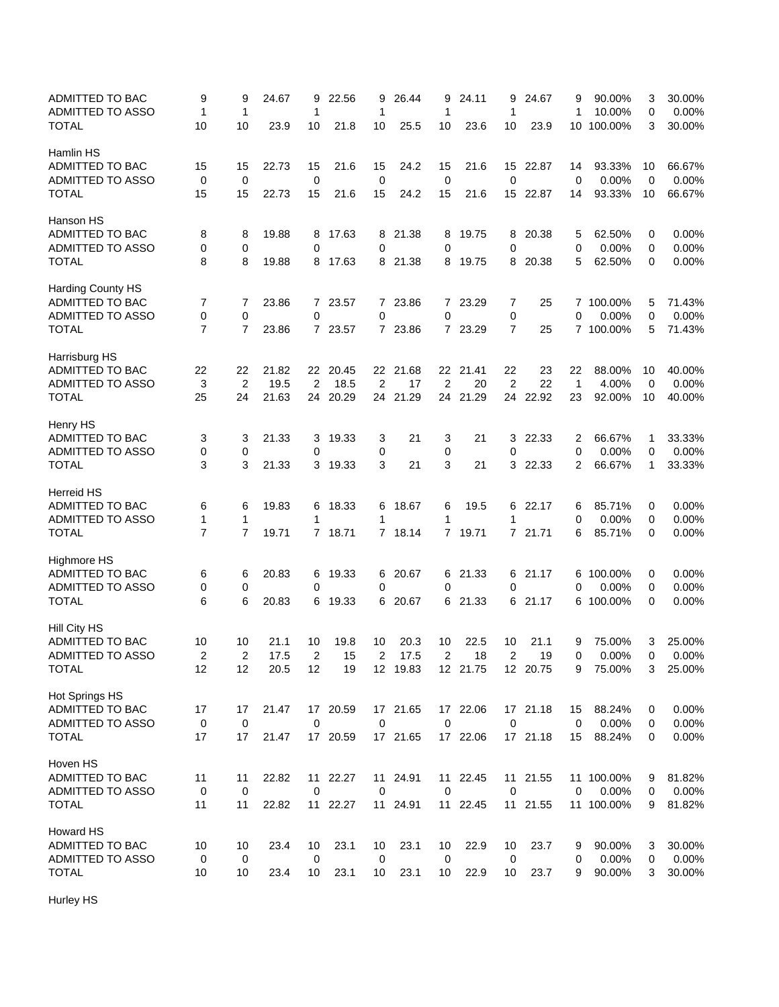| ADMITTED TO BAC<br>ADMITTED TO ASSO     | 9<br>1              | 9<br>1              | 24.67 | 9<br>1         | 22.56    | 9<br>1         | 26.44    | 9<br>1 | 24.11          | 9<br>1              | 24.67          | 9<br>1      | 90.00%<br>10.00%   | 3<br>0      | 30.00%<br>0.00% |
|-----------------------------------------|---------------------|---------------------|-------|----------------|----------|----------------|----------|--------|----------------|---------------------|----------------|-------------|--------------------|-------------|-----------------|
| <b>TOTAL</b>                            | 10                  | 10                  | 23.9  | 10             | 21.8     | 10             | 25.5     | 10     | 23.6           | 10                  | 23.9           | 10          | 100.00%            | 3           | 30.00%          |
| Hamlin HS                               |                     |                     |       |                |          |                |          |        |                |                     |                |             |                    |             |                 |
| ADMITTED TO BAC                         | 15                  | 15                  | 22.73 | 15             | 21.6     | 15             | 24.2     | 15     | 21.6           | 15                  | 22.87          | 14          | 93.33%             | 10          | 66.67%          |
| ADMITTED TO ASSO                        | 0                   | $\mathbf 0$         |       | 0              |          | 0              |          | 0      |                | $\mathbf 0$         |                | $\mathbf 0$ | 0.00%              | $\mathbf 0$ | 0.00%           |
| <b>TOTAL</b>                            | 15                  | 15                  | 22.73 | 15             | 21.6     | 15             | 24.2     | 15     | 21.6           | 15                  | 22.87          | 14          | 93.33%             | 10          | 66.67%          |
| Hanson HS                               |                     |                     |       |                |          |                |          |        |                |                     |                |             |                    |             |                 |
| ADMITTED TO BAC                         | 8                   | 8                   | 19.88 | 8              | 17.63    | 8              | 21.38    | 8      | 19.75          | 8                   | 20.38          | 5           | 62.50%             | 0           | 0.00%           |
| <b>ADMITTED TO ASSO</b>                 | 0                   | 0                   |       | 0              |          | 0              |          | 0      |                | $\mathbf 0$         |                | 0           | 0.00%              | 0           | 0.00%           |
| <b>TOTAL</b>                            | 8                   | 8                   | 19.88 | 8              | 17.63    |                | 8 21.38  | 8      | 19.75          | 8                   | 20.38          | 5           | 62.50%             | 0           | 0.00%           |
| Harding County HS                       |                     |                     |       |                |          |                |          |        |                |                     |                |             |                    |             |                 |
| ADMITTED TO BAC                         | 7                   | 7                   | 23.86 |                | 7 23.57  | $\mathbf 0$    | 7 23.86  | 7      | 23.29          | 7                   | 25             |             | 7 100.00%          | 5           | 71.43%          |
| ADMITTED TO ASSO<br>TOTAL               | 0<br>$\overline{7}$ | 0<br>$\overline{7}$ | 23.86 | 0              | 7 23.57  |                | 7 23.86  | 0      | 7 23.29        | 0<br>$\overline{7}$ | 25             | 0           | 0.00%<br>7 100.00% | 0<br>5      | 0.00%<br>71.43% |
|                                         |                     |                     |       |                |          |                |          |        |                |                     |                |             |                    |             |                 |
| Harrisburg HS<br><b>ADMITTED TO BAC</b> | 22                  | 22                  | 21.82 | 22             | 20.45    | 22             | 21.68    | 22     | 21.41          | 22                  | 23             | 22          | 88.00%             |             | 40.00%          |
| ADMITTED TO ASSO                        | 3                   | $\overline{2}$      | 19.5  | $\overline{2}$ | 18.5     | $\overline{2}$ | 17       | 2      | 20             | $\overline{2}$      | 22             | 1           | 4.00%              | 10<br>0     | 0.00%           |
| <b>TOTAL</b>                            | 25                  | 24                  | 21.63 | 24             | 20.29    | 24             | 21.29    | 24     | 21.29          | 24                  | 22.92          | 23          | 92.00%             | 10          | 40.00%          |
|                                         |                     |                     |       |                |          |                |          |        |                |                     |                |             |                    |             |                 |
| Henry HS<br>ADMITTED TO BAC             |                     |                     | 21.33 |                |          |                |          |        |                |                     |                |             |                    |             | 33.33%          |
| ADMITTED TO ASSO                        | 3<br>0              | 3<br>0              |       | 3<br>0         | 19.33    | 3<br>0         | 21       | 3<br>0 | 21             | 3<br>0              | 22.33          | 2<br>0      | 66.67%<br>0.00%    | 1<br>0      | 0.00%           |
| <b>TOTAL</b>                            | 3                   | 3                   | 21.33 |                | 3 19.33  | 3              | 21       | 3      | 21             | 3                   | 22.33          | 2           | 66.67%             | 1           | 33.33%          |
|                                         |                     |                     |       |                |          |                |          |        |                |                     |                |             |                    |             |                 |
| Herreid HS<br>ADMITTED TO BAC           |                     |                     | 19.83 | 6              | 18.33    | 6              | 18.67    | 6      | 19.5           | 6                   | 22.17          | 6           | 85.71%             | 0           | 0.00%           |
| ADMITTED TO ASSO                        | 6<br>$\mathbf 1$    | 6<br>1              |       | 1              |          | 1              |          | 1      |                | 1                   |                | 0           | 0.00%              | 0           | 0.00%           |
| <b>TOTAL</b>                            | $\overline{7}$      | $\overline{7}$      | 19.71 |                | 7 18.71  | $7^{\circ}$    | 18.14    | 7      | 19.71          | $\overline{7}$      | 21.71          | 6           | 85.71%             | 0           | 0.00%           |
|                                         |                     |                     |       |                |          |                |          |        |                |                     |                |             |                    |             |                 |
| <b>Highmore HS</b>                      |                     |                     |       |                |          |                |          |        |                |                     |                |             |                    |             |                 |
| ADMITTED TO BAC                         | 6                   | 6                   | 20.83 | 6              | 19.33    |                | 6 20.67  | 6      | 21.33          | 6                   | 21.17          |             | 6 100.00%          | 0           | 0.00%           |
| ADMITTED TO ASSO                        | 0                   | 0                   |       | 0              |          | 0              |          | 0      |                | 0                   |                | 0           | 0.00%              | 0           | 0.00%           |
| <b>TOTAL</b>                            | 6                   | 6                   | 20.83 | 6              | 19.33    |                | 6 20.67  | 6      | 21.33          | 6                   | 21.17          |             | 6 100.00%          | 0           | 0.00%           |
| Hill City HS                            |                     |                     |       |                |          |                |          |        |                |                     |                |             |                    |             |                 |
| <b>ADMITTED TO BAC</b>                  | 10                  | 10                  | 21.1  | 10             | 19.8     | 10             | 20.3     | 10     | 22.5           | 10                  | 21.1           | 9           | 75.00%             | 3           | 25.00%          |
| <b>ADMITTED TO ASSO</b>                 | $\overline{2}$      | $\overline{2}$      | 17.5  | 2              | 15       | 2              | 17.5     | 2      | 18<br>12 21.75 | 2                   | 19<br>12 20.75 | 0           | 0.00%              | 0           | 0.00%           |
| <b>TOTAL</b>                            | 12                  | 12                  | 20.5  | 12             | 19       |                | 12 19.83 |        |                |                     |                | 9           | 75.00%             | 3           | 25.00%          |
| Hot Springs HS                          |                     |                     |       |                |          |                |          |        |                |                     |                |             |                    |             |                 |
| ADMITTED TO BAC                         | 17                  | 17                  | 21.47 |                | 17 20.59 |                | 17 21.65 |        | 17 22.06       |                     | 17 21.18       | 15          | 88.24%             | 0           | 0.00%           |
| ADMITTED TO ASSO                        | $\pmb{0}$           | 0                   |       | 0              |          | 0              |          | 0      |                | 0                   |                | 0           | 0.00%              | 0           | 0.00%           |
| <b>TOTAL</b>                            | 17                  | 17                  | 21.47 |                | 17 20.59 |                | 17 21.65 |        | 17 22.06       |                     | 17 21.18       | 15          | 88.24%             | 0           | 0.00%           |
| Hoven HS                                |                     |                     |       |                |          |                |          |        |                |                     |                |             |                    |             |                 |
| ADMITTED TO BAC                         | 11                  | 11                  | 22.82 |                | 11 22.27 | 11             | 24.91    |        | 11 22.45       |                     | 11 21.55       |             | 11 100.00%         | 9           | 81.82%          |
| ADMITTED TO ASSO                        | 0                   | 0                   |       | 0              |          | 0              |          | 0      |                | $\mathbf 0$         |                | 0           | 0.00%              | 0           | 0.00%           |
| <b>TOTAL</b>                            | 11                  | 11                  | 22.82 | 11             | 22.27    | 11             | 24.91    | 11     | 22.45          |                     | 11 21.55       |             | 11 100.00%         | 9           | 81.82%          |
| Howard HS                               |                     |                     |       |                |          |                |          |        |                |                     |                |             |                    |             |                 |
| ADMITTED TO BAC                         | 10                  | 10                  | 23.4  | 10             | 23.1     | 10             | 23.1     | 10     | 22.9           | 10                  | 23.7           | 9           | 90.00%             | 3           | 30.00%          |
| ADMITTED TO ASSO                        | $\mathbf 0$         | 0                   |       | $\mathbf 0$    |          | 0              |          | 0      |                | 0                   |                | 0           | 0.00%              | 0           | 0.00%           |
| <b>TOTAL</b>                            | 10                  | 10                  | 23.4  | 10             | 23.1     | 10             | 23.1     | 10     | 22.9           | 10                  | 23.7           | 9           | 90.00%             | 3           | 30.00%          |

Hurley HS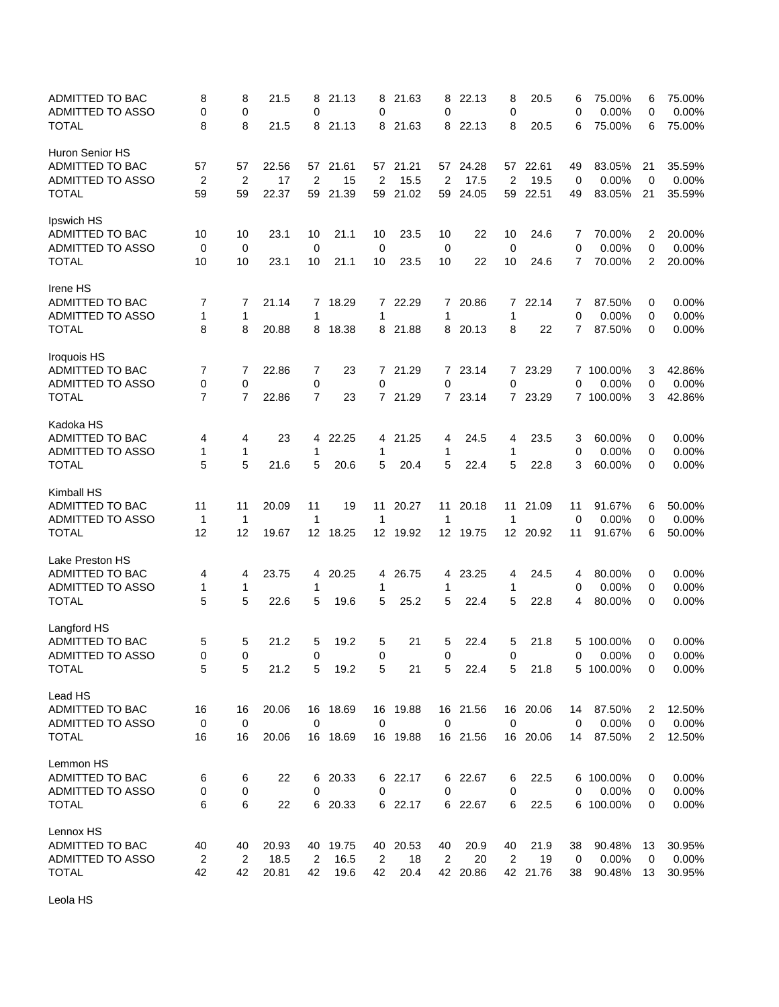| ADMITTED TO BAC<br>ADMITTED TO ASSO<br><b>TOTAL</b> | 8<br>0<br>8    | 8<br>0<br>8    | 21.5<br>21.5 | 8<br>0<br>8      | 21.13<br>21.13 | 8<br>0          | 21.63<br>8 21.63 | 8<br>0<br>8 | 22.13<br>22.13 | 8<br>0<br>8    | 20.5<br>20.5 | 6<br>0<br>6    | 75.00%<br>0.00%<br>75.00% | 6<br>0<br>6    | 75.00%<br>0.00%<br>75.00% |
|-----------------------------------------------------|----------------|----------------|--------------|------------------|----------------|-----------------|------------------|-------------|----------------|----------------|--------------|----------------|---------------------------|----------------|---------------------------|
|                                                     |                |                |              |                  |                |                 |                  |             |                |                |              |                |                           |                |                           |
| Huron Senior HS<br>ADMITTED TO BAC                  | 57             | 57             | 22.56        |                  | 57 21.61       |                 | 57 21.21         |             | 57 24.28       | 57             | 22.61        | 49             | 83.05%                    | 21             | 35.59%                    |
| ADMITTED TO ASSO                                    | $\overline{2}$ | $\overline{2}$ | 17           | $\overline{2}$   | 15             | $\overline{2}$  | 15.5             | 2           | 17.5           | $\overline{2}$ | 19.5         | 0              | 0.00%                     | 0              | 0.00%                     |
| <b>TOTAL</b>                                        | 59             | 59             | 22.37        |                  | 59 21.39       | 59              | 21.02            | 59          | 24.05          | 59             | 22.51        | 49             | 83.05%                    | 21             | 35.59%                    |
| Ipswich HS                                          |                |                |              |                  |                |                 |                  |             |                |                |              |                |                           |                |                           |
| ADMITTED TO BAC                                     | 10             | 10             | 23.1         | 10               | 21.1           | 10              | 23.5             | 10          | 22             | 10             | 24.6         | 7              | 70.00%                    | 2              | 20.00%                    |
| ADMITTED TO ASSO                                    | 0              | 0              |              | 0                |                | 0               |                  | 0           |                | 0              |              | 0              | 0.00%                     | 0              | 0.00%                     |
| <b>TOTAL</b>                                        | 10             | 10             | 23.1         | 10               | 21.1           | 10              | 23.5             | 10          | 22             | 10             | 24.6         | $\overline{7}$ | 70.00%                    | 2              | 20.00%                    |
| Irene HS                                            |                |                |              |                  |                |                 |                  |             |                |                |              |                |                           |                |                           |
| ADMITTED TO BAC                                     | 7              | 7              | 21.14        | 7                | 18.29          |                 | 7 22.29          | 7           | 20.86          | $\mathbf{7}$   | 22.14        | 7              | 87.50%                    | 0              | 0.00%                     |
| ADMITTED TO ASSO                                    | 1              | 1              |              | 1                |                | 1               |                  | 1           |                | 1              |              | 0              | 0.00%                     | 0              | 0.00%                     |
| <b>TOTAL</b>                                        | 8              | 8              | 20.88        | 8                | 18.38          |                 | 8 21.88          | 8           | 20.13          | 8              | 22           | $\overline{7}$ | 87.50%                    | 0              | 0.00%                     |
| Iroquois HS                                         |                |                |              |                  |                |                 |                  |             |                |                |              |                |                           |                |                           |
| ADMITTED TO BAC                                     | 7              | 7              | 22.86        | 7                | 23             |                 | 7 21.29          | 7           | 23.14          | 7              | 23.29        |                | 7 100.00%                 | 3              | 42.86%                    |
| ADMITTED TO ASSO                                    | 0              | 0              | 22.86        | 0                |                | 0               | 7 21.29          | 0           |                | 0              |              | 0              | 0.00%                     | 0              | 0.00%                     |
| <b>TOTAL</b>                                        | 7              | 7              |              | 7                | 23             |                 |                  | 7           | 23.14          |                | 7 23.29      |                | 7 100.00%                 | 3              | 42.86%                    |
| Kadoka HS<br>ADMITTED TO BAC                        | 4              | 4              | 23           | 4                | 22.25          |                 | 4 21.25          | 4           | 24.5           | 4              | 23.5         | 3              | 60.00%                    | 0              | 0.00%                     |
| ADMITTED TO ASSO                                    | 1              | 1              |              | 1                |                | 1               |                  | 1           |                | 1              |              | 0              | 0.00%                     | 0              | 0.00%                     |
| <b>TOTAL</b>                                        | 5              | 5              | 21.6         | 5                | 20.6           | 5               | 20.4             | 5           | 22.4           | 5              | 22.8         | 3              | 60.00%                    | 0              | 0.00%                     |
| Kimball HS                                          |                |                |              |                  |                |                 |                  |             |                |                |              |                |                           |                |                           |
| ADMITTED TO BAC                                     | 11             | 11             | 20.09        | 11               | 19             | 11              | 20.27            | 11          | 20.18          | 11             | 21.09        | 11             | 91.67%                    | 6              | 50.00%                    |
| ADMITTED TO ASSO                                    | $\mathbf 1$    | 1              |              | 1                |                | $\mathbf 1$     |                  | 1           |                | $\mathbf 1$    |              | 0              | 0.00%                     | 0              | 0.00%                     |
| <b>TOTAL</b>                                        | 12             | 12             | 19.67        | 12 <sup>12</sup> | 18.25          | 12 <sup>°</sup> | 19.92            | 12          | 19.75          | 12             | 20.92        | 11             | 91.67%                    | 6              | 50.00%                    |
| Lake Preston HS                                     |                |                |              |                  |                |                 |                  |             |                |                |              |                |                           |                |                           |
| <b>ADMITTED TO BAC</b>                              | 4              | 4              | 23.75        | 4                | 20.25          | 4               | 26.75            | 4           | 23.25          | 4              | 24.5         | 4              | 80.00%                    | 0              | 0.00%                     |
| ADMITTED TO ASSO                                    | 1              | 1              |              | 1                |                | 1               |                  | 1           |                | 1              |              | 0              | 0.00%                     | 0              | 0.00%                     |
| <b>TOTAL</b>                                        | 5              | 5              | 22.6         | 5                | 19.6           | 5               | 25.2             | 5           | 22.4           | 5              | 22.8         | 4              | 80.00%                    | 0              | 0.00%                     |
| Langford HS                                         |                |                |              |                  |                |                 |                  |             |                |                |              |                |                           |                |                           |
| ADMITTED TO BAC<br><b>ADMITTED TO ASSO</b>          | 5<br>$\Omega$  | 5<br>0         | 21.2         | 5<br>0           | 19.2           | 5<br>$\Omega$   | 21               | 5<br>0      | 22.4           | 5<br>0         | 21.8         | 5<br>0         | 100.00%<br>0.00%          | 0<br>0         | 0.00%<br>0.00%            |
| <b>TOTAL</b>                                        | 5              | 5              | 21.2         | 5                | 19.2           | 5               | 21               | 5           | 22.4           | 5              | 21.8         |                | 5 100.00%                 | 0              | 0.00%                     |
| Lead HS                                             |                |                |              |                  |                |                 |                  |             |                |                |              |                |                           |                |                           |
| ADMITTED TO BAC                                     | 16             | 16             | 20.06        |                  | 16 18.69       |                 | 16 19.88         |             | 16 21.56       |                | 16 20.06     | 14             | 87.50%                    | $\overline{c}$ | 12.50%                    |
| ADMITTED TO ASSO                                    | 0              | $\mathbf 0$    |              | 0                |                | $\mathbf 0$     |                  | 0           |                | 0              |              | 0              | 0.00%                     | 0              | 0.00%                     |
| <b>TOTAL</b>                                        | 16             | 16             | 20.06        |                  | 16 18.69       |                 | 16 19.88         |             | 16 21.56       |                | 16 20.06     | 14             | 87.50%                    | 2              | 12.50%                    |
| Lemmon HS                                           |                |                |              |                  |                |                 |                  |             |                |                |              |                |                           |                |                           |
| ADMITTED TO BAC                                     | 6              | 6              | 22           | 6                | 20.33          |                 | 6 22.17          |             | 6 22.67        | 6              | 22.5         |                | 6 100.00%                 | 0              | 0.00%                     |
| ADMITTED TO ASSO                                    | 0              | 0              |              | 0                |                | 0               |                  | 0           |                | 0              |              | 0              | 0.00%                     | 0              | 0.00%                     |
| <b>TOTAL</b>                                        | 6              | 6              | 22           |                  | 6 20.33        |                 | 6 22.17          |             | 6 22.67        | 6              | 22.5         |                | 6 100.00%                 | 0              | 0.00%                     |
| Lennox HS                                           |                |                |              |                  |                |                 |                  |             |                |                |              |                |                           |                |                           |
| ADMITTED TO BAC                                     | 40             | 40             | 20.93        |                  | 40 19.75       |                 | 40 20.53         | 40          | 20.9           | 40             | 21.9         | 38             | 90.48%                    | 13             | 30.95%                    |
| ADMITTED TO ASSO                                    | $\overline{c}$ | 2              | 18.5         | $\overline{2}$   | 16.5           | $\overline{c}$  | 18               | 2           | 20             | $\sqrt{2}$     | 19           | 0              | 0.00%                     | 0              | 0.00%                     |
| <b>TOTAL</b>                                        | 42             | 42             | 20.81        | 42               | 19.6           | 42              | 20.4             |             | 42 20.86       |                | 42 21.76     | 38             | 90.48%                    | 13             | 30.95%                    |

Leola HS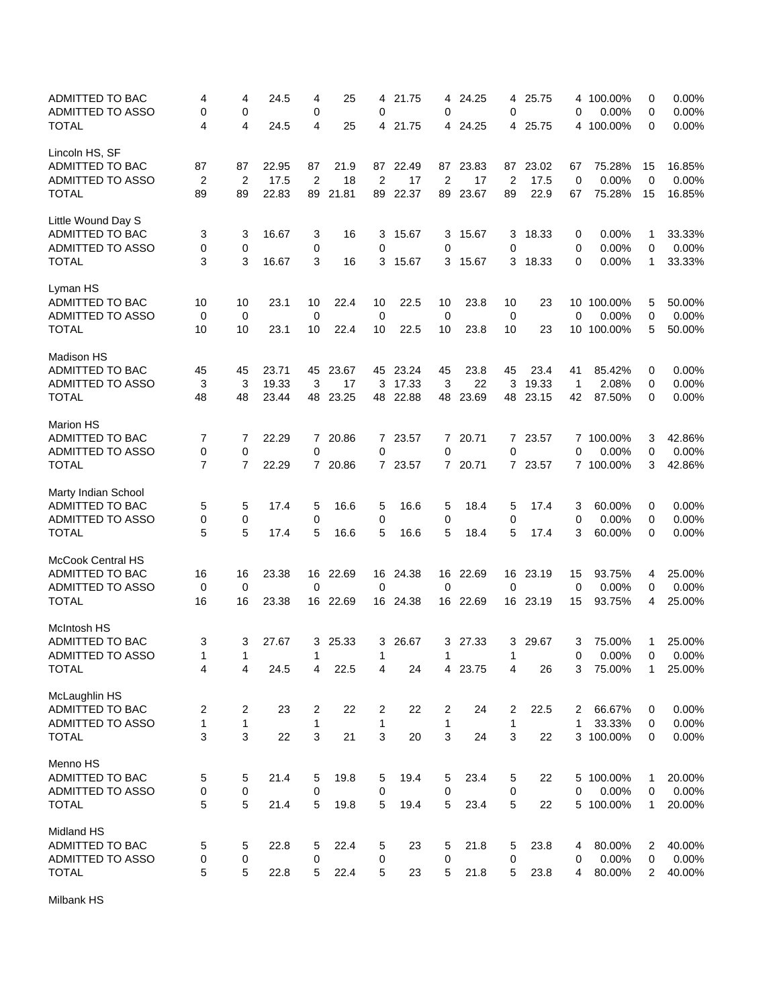| ADMITTED TO BAC<br>ADMITTED TO ASSO<br><b>TOTAL</b> | 4<br>0<br>4          | 4<br>0<br>4          | 24.5<br>24.5  | 4<br>0<br>4          | 25<br>25   | 4<br>0<br>4    | 21.75<br>21.75 | 4<br>0<br>4    | 24.25<br>24.25 | 4<br>0<br>4          | 25.75<br>25.75 | 0           | 4 100.00%<br>0.00%<br>4 100.00% | 0<br>0<br>0    | 0.00%<br>0.00%<br>0.00% |
|-----------------------------------------------------|----------------------|----------------------|---------------|----------------------|------------|----------------|----------------|----------------|----------------|----------------------|----------------|-------------|---------------------------------|----------------|-------------------------|
|                                                     |                      |                      |               |                      |            |                |                |                |                |                      |                |             |                                 |                |                         |
| Lincoln HS, SF                                      |                      |                      |               |                      |            |                |                |                |                |                      |                |             |                                 |                |                         |
| ADMITTED TO BAC<br>ADMITTED TO ASSO                 | 87<br>$\overline{2}$ | 87<br>$\overline{2}$ | 22.95<br>17.5 | 87<br>$\overline{2}$ | 21.9<br>18 | $\overline{c}$ | 87 22.49<br>17 | $\overline{2}$ | 87 23.83<br>17 | 87<br>$\overline{2}$ | 23.02<br>17.5  | 67<br>0     | 75.28%<br>0.00%                 | 15<br>0        | 16.85%<br>0.00%         |
| <b>TOTAL</b>                                        | 89                   | 89                   | 22.83         | 89                   | 21.81      | 89             | 22.37          | 89             | 23.67          | 89                   | 22.9           | 67          | 75.28%                          | 15             | 16.85%                  |
|                                                     |                      |                      |               |                      |            |                |                |                |                |                      |                |             |                                 |                |                         |
| Little Wound Day S                                  |                      |                      |               |                      |            |                |                |                |                |                      |                |             |                                 |                |                         |
| ADMITTED TO BAC                                     | 3                    | 3                    | 16.67         | 3                    | 16         | 3              | 15.67          | 3              | 15.67          | 3                    | 18.33          | 0           | 0.00%                           | 1              | 33.33%                  |
| ADMITTED TO ASSO                                    | 0                    | 0                    |               | 0                    |            | 0              |                | 0              |                | 0                    |                | 0           | 0.00%                           | 0              | 0.00%                   |
| <b>TOTAL</b>                                        | 3                    | 3                    | 16.67         | 3                    | 16         | 3              | 15.67          | 3              | 15.67          | 3                    | 18.33          | 0           | 0.00%                           | 1              | 33.33%                  |
| Lyman HS                                            |                      |                      |               |                      |            |                |                |                |                |                      |                |             |                                 |                |                         |
| ADMITTED TO BAC                                     | 10                   | 10                   | 23.1          | 10                   | 22.4       | 10             | 22.5           | 10             | 23.8           | 10                   | 23             |             | 10 100.00%                      | 5              | 50.00%                  |
| ADMITTED TO ASSO                                    | 0                    | 0                    |               | $\mathbf 0$          |            | $\mathbf 0$    |                | 0              |                | 0                    |                | 0           | 0.00%                           | 0              | 0.00%                   |
| <b>TOTAL</b>                                        | 10                   | 10                   | 23.1          | 10                   | 22.4       | 10             | 22.5           | 10             | 23.8           | 10                   | 23             |             | 10 100.00%                      | 5              | 50.00%                  |
| Madison HS                                          |                      |                      |               |                      |            |                |                |                |                |                      |                |             |                                 |                |                         |
| ADMITTED TO BAC                                     | 45                   | 45                   | 23.71         | 45                   | 23.67      | 45             | 23.24          | 45             | 23.8           | 45                   | 23.4           | 41          | 85.42%                          | 0              | 0.00%                   |
| ADMITTED TO ASSO                                    | 3                    | 3                    | 19.33         | 3                    | 17         | 3              | 17.33          | 3              | 22             | 3                    | 19.33          | $\mathbf 1$ | 2.08%                           | 0              | 0.00%                   |
| <b>TOTAL</b>                                        | 48                   | 48                   | 23.44         |                      | 48 23.25   |                | 48 22.88       | 48             | 23.69          | 48                   | 23.15          | 42          | 87.50%                          | 0              | 0.00%                   |
| <b>Marion HS</b>                                    |                      |                      |               |                      |            |                |                |                |                |                      |                |             |                                 |                |                         |
| ADMITTED TO BAC                                     | 7                    | 7                    | 22.29         |                      | 7 20.86    |                | 7 23.57        | $\mathbf{7}$   | 20.71          |                      | 7 23.57        |             | 7 100.00%                       | 3              | 42.86%                  |
| ADMITTED TO ASSO                                    | 0                    | 0                    |               | 0                    |            | 0              |                | 0              |                | 0                    |                | 0           | 0.00%                           | 0              | 0.00%                   |
| <b>TOTAL</b>                                        | $\overline{7}$       | $\overline{7}$       | 22.29         |                      | 7 20.86    |                | 7 23.57        | $\mathbf{7}$   | 20.71          |                      | 7 23.57        |             | 7 100.00%                       | 3              | 42.86%                  |
|                                                     |                      |                      |               |                      |            |                |                |                |                |                      |                |             |                                 |                |                         |
| Marty Indian School<br>ADMITTED TO BAC              | 5                    | 5                    | 17.4          | 5                    | 16.6       | 5              | 16.6           | 5              | 18.4           | 5                    | 17.4           | 3           | 60.00%                          | 0              | 0.00%                   |
| ADMITTED TO ASSO                                    | 0                    | 0                    |               | 0                    |            | 0              |                | 0              |                | 0                    |                | 0           | 0.00%                           | 0              | 0.00%                   |
| <b>TOTAL</b>                                        | 5                    | 5                    | 17.4          | 5                    | 16.6       | 5              | 16.6           | 5              | 18.4           | 5                    | 17.4           | 3           | 60.00%                          | 0              | 0.00%                   |
|                                                     |                      |                      |               |                      |            |                |                |                |                |                      |                |             |                                 |                |                         |
| McCook Central HS<br>ADMITTED TO BAC                | 16                   |                      | 23.38         |                      | 16 22.69   | 16             | 24.38          |                | 22.69          |                      | 16 23.19       |             | 93.75%                          |                | 25.00%                  |
| ADMITTED TO ASSO                                    | 0                    | 16<br>0              |               | 0                    |            | 0              |                | 16<br>0        |                | 0                    |                | 15<br>0     | 0.00%                           | 4<br>0         | 0.00%                   |
| <b>TOTAL</b>                                        | 16                   | 16                   | 23.38         |                      | 16 22.69   |                | 16 24.38       |                | 16 22.69       |                      | 16 23.19       | 15          | 93.75%                          | 4              | 25.00%                  |
|                                                     |                      |                      |               |                      |            |                |                |                |                |                      |                |             |                                 |                |                         |
| McIntosh HS                                         |                      |                      |               |                      |            |                |                |                |                |                      |                |             |                                 |                |                         |
| <b>ADMITTED TO BAC</b><br><b>ADMITTED TO ASSO</b>   | 3<br>1               | 3<br>1               | 27.67         | 3<br>1               | 25.33      | 3<br>1         | 26.67          | 3<br>1         | 27.33          | 3<br>1               | 29.67          | 3           | 75.00%<br>0.00%                 | 1<br>$\Omega$  | 25.00%                  |
| <b>TOTAL</b>                                        | 4                    | 4                    | 24.5          | 4                    | 22.5       | 4              | 24             | 4              | 23.75          | 4                    | 26             | 0<br>3      | 75.00%                          | 1              | 0.00%<br>25.00%         |
|                                                     |                      |                      |               |                      |            |                |                |                |                |                      |                |             |                                 |                |                         |
| McLaughlin HS                                       |                      |                      |               |                      |            |                |                |                |                |                      |                |             |                                 |                |                         |
| ADMITTED TO BAC                                     | 2                    | 2                    | 23            | 2                    | 22         | 2              | 22             | 2              | 24             | 2                    | 22.5           | 2           | 66.67%                          | 0              | 0.00%                   |
| ADMITTED TO ASSO                                    | $\mathbf{1}$         | $\mathbf 1$          |               | $\mathbf{1}$         |            | $\mathbf{1}$   |                | 1              |                | $\mathbf 1$          |                | 1           | 33.33%                          | 0              | 0.00%                   |
| <b>TOTAL</b>                                        | 3                    | 3                    | 22            | 3                    | 21         | 3              | 20             | 3              | 24             | 3                    | 22             |             | 3 100.00%                       | 0              | 0.00%                   |
| Menno HS                                            |                      |                      |               |                      |            |                |                |                |                |                      |                |             |                                 |                |                         |
| ADMITTED TO BAC                                     | 5                    | 5                    | 21.4          | 5                    | 19.8       | 5              | 19.4           | 5              | 23.4           | 5                    | 22             |             | 5 100.00%                       | 1              | 20.00%                  |
| ADMITTED TO ASSO                                    | 0                    | 0                    |               | 0                    |            | 0              |                | 0              |                | 0                    |                | 0           | 0.00%                           | 0              | 0.00%                   |
| <b>TOTAL</b>                                        | 5                    | 5                    | 21.4          | 5                    | 19.8       | 5              | 19.4           | 5              | 23.4           | 5                    | 22             |             | 5 100.00%                       | 1              | 20.00%                  |
| Midland HS                                          |                      |                      |               |                      |            |                |                |                |                |                      |                |             |                                 |                |                         |
| ADMITTED TO BAC                                     | 5                    | 5                    | 22.8          | 5                    | 22.4       | 5              | 23             | 5              | 21.8           | 5                    | 23.8           | 4           | 80.00%                          | 2              | 40.00%                  |
| ADMITTED TO ASSO                                    | 0                    | 0                    |               | 0                    |            | 0              |                | 0              |                | $\mathbf 0$          |                | 0           | 0.00%                           | 0              | 0.00%                   |
| <b>TOTAL</b>                                        | 5                    | 5                    | 22.8          | 5                    | 22.4       | 5              | 23             | 5              | 21.8           | 5                    | 23.8           | 4           | 80.00%                          | $\overline{2}$ | 40.00%                  |

Milbank HS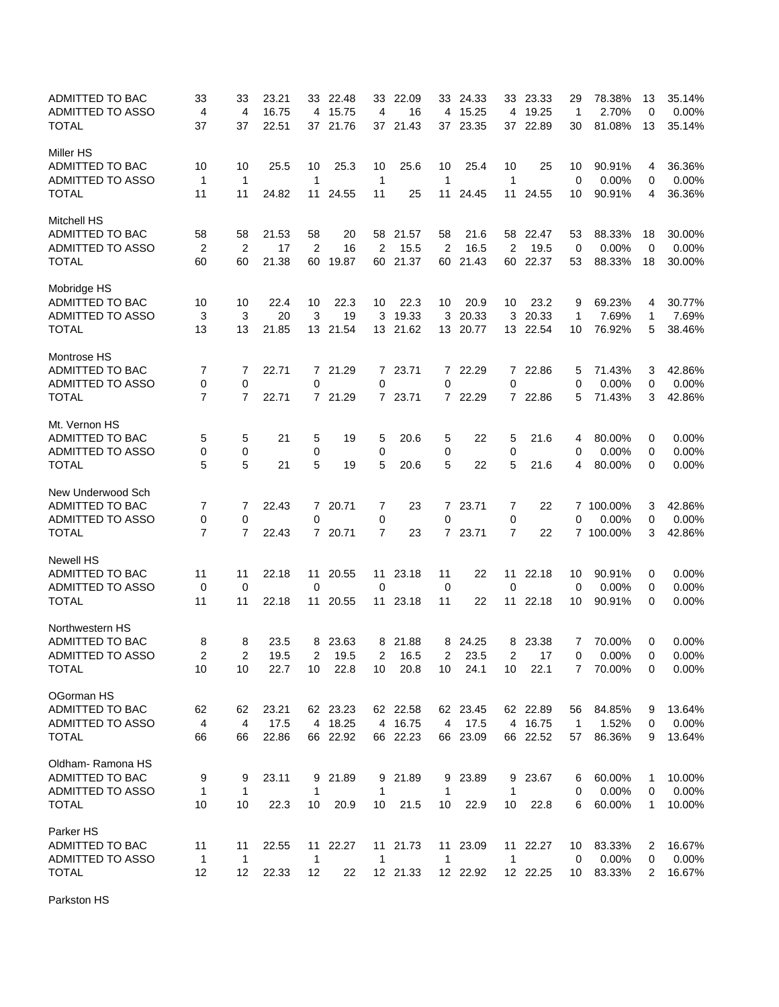| ADMITTED TO BAC<br><b>ADMITTED TO ASSO</b><br><b>TOTAL</b> | 33<br>4<br>37       | 33<br>4<br>37       | 23.21<br>16.75<br>22.51 |                | 33 22.48<br>4 15.75<br>37 21.76 | 33<br>4<br>37       | 22.09<br>16<br>21.43 |                | 33 24.33<br>4 15.25<br>37 23.35 |                               | 33 23.33<br>4 19.25<br>37 22.89 | 29<br>$\mathbf{1}$<br>30 | 78.38%<br>2.70%<br>81.08% | 13<br>0<br>13 | 35.14%<br>0.00%<br>35.14% |
|------------------------------------------------------------|---------------------|---------------------|-------------------------|----------------|---------------------------------|---------------------|----------------------|----------------|---------------------------------|-------------------------------|---------------------------------|--------------------------|---------------------------|---------------|---------------------------|
| <b>Miller HS</b>                                           |                     |                     |                         |                |                                 |                     |                      |                |                                 |                               |                                 |                          |                           |               |                           |
| <b>ADMITTED TO BAC</b>                                     | 10                  | 10                  | 25.5                    | 10             | 25.3                            | 10                  | 25.6                 | 10             | 25.4                            | 10                            | 25                              | 10                       | 90.91%                    | 4             | 36.36%                    |
| <b>ADMITTED TO ASSO</b>                                    | $\mathbf{1}$        | 1                   |                         | $\mathbf{1}$   |                                 | $\mathbf 1$         |                      | 1              |                                 | $\mathbf{1}$                  |                                 | 0                        | 0.00%                     | 0             | 0.00%                     |
| <b>TOTAL</b>                                               | 11                  | 11                  | 24.82                   | 11             | 24.55                           | 11                  | 25                   | 11             | 24.45                           | 11                            | 24.55                           | 10                       | 90.91%                    | 4             | 36.36%                    |
| <b>Mitchell HS</b>                                         |                     |                     |                         |                |                                 |                     |                      |                |                                 |                               |                                 |                          |                           |               |                           |
| ADMITTED TO BAC                                            | 58                  | 58                  | 21.53                   | 58             | 20                              | 58                  | 21.57                | 58             | 21.6                            |                               | 58 22.47                        | 53                       | 88.33%                    | 18            | 30.00%                    |
| ADMITTED TO ASSO                                           | $\overline{2}$      | $\overline{2}$      | 17                      | $\overline{2}$ | 16                              | $\overline{2}$      | 15.5                 | 2              | 16.5                            | $\overline{2}$                | 19.5                            | 0                        | 0.00%                     | $\mathbf 0$   | 0.00%                     |
| <b>TOTAL</b>                                               | 60                  | 60                  | 21.38                   | 60             | 19.87                           | 60                  | 21.37                | 60             | 21.43                           | 60                            | 22.37                           | 53                       | 88.33%                    | 18            | 30.00%                    |
| Mobridge HS                                                |                     |                     |                         |                |                                 |                     |                      |                |                                 |                               |                                 |                          |                           |               |                           |
| ADMITTED TO BAC                                            | 10                  | 10                  | 22.4                    | 10             | 22.3                            | 10                  | 22.3                 | 10             | 20.9                            | 10                            | 23.2                            | 9                        | 69.23%                    | 4             | 30.77%                    |
| ADMITTED TO ASSO                                           | 3                   | 3                   | 20                      | 3              | 19                              | 3                   | 19.33                | 3              | 20.33                           | 3                             | 20.33                           | 1                        | 7.69%                     | 1             | 7.69%                     |
| <b>TOTAL</b>                                               | 13                  | 13                  | 21.85                   |                | 13 21.54                        |                     | 13 21.62             |                | 13 20.77                        |                               | 13 22.54                        | 10                       | 76.92%                    | 5             | 38.46%                    |
| Montrose HS                                                |                     |                     |                         |                |                                 |                     |                      |                |                                 |                               |                                 |                          |                           |               |                           |
| ADMITTED TO BAC                                            | 7                   | 7                   | 22.71                   |                | 7 21.29                         |                     | 7 23.71              | 7              | 22.29                           | 7                             | 22.86                           | 5                        | 71.43%                    | 3             | 42.86%                    |
| ADMITTED TO ASSO                                           | 0                   | 0                   |                         | 0              |                                 | 0                   |                      | 0              |                                 | $\mathbf 0$                   |                                 | 0                        | 0.00%                     | 0             | 0.00%                     |
| <b>TOTAL</b>                                               | $\overline{7}$      | $\overline{7}$      | 22.71                   |                | 7 21.29                         |                     | 7 23.71              |                | 7 22.29                         |                               | 7 22.86                         | 5                        | 71.43%                    | 3             | 42.86%                    |
| Mt. Vernon HS                                              |                     |                     |                         |                |                                 |                     |                      |                |                                 |                               |                                 |                          |                           |               |                           |
| ADMITTED TO BAC                                            | 5                   | 5                   | 21                      | 5              | 19                              | 5                   | 20.6                 | 5              | 22                              | 5                             | 21.6                            | 4                        | 80.00%                    | 0             | 0.00%                     |
| <b>ADMITTED TO ASSO</b>                                    | 0                   | 0                   |                         | 0              |                                 | 0                   |                      | 0              |                                 | 0                             |                                 | 0                        | 0.00%                     | 0             | 0.00%                     |
| <b>TOTAL</b>                                               | 5                   | 5                   | 21                      | 5              | 19                              | 5                   | 20.6                 | 5              | 22                              | 5                             | 21.6                            | 4                        | 80.00%                    | 0             | 0.00%                     |
| New Underwood Sch                                          |                     |                     |                         |                |                                 |                     |                      |                |                                 |                               |                                 |                          |                           |               |                           |
| ADMITTED TO BAC                                            | 7                   | 7                   | 22.43                   |                | 7 20.71                         | 7                   | 23                   | $\overline{7}$ | 23.71                           | 7                             | 22                              |                          | 7 100.00%                 | 3             | 42.86%                    |
| ADMITTED TO ASSO<br><b>TOTAL</b>                           | 0<br>$\overline{7}$ | 0<br>$\overline{7}$ | 22.43                   | $\mathbf 0$    | 7 20.71                         | 0<br>$\overline{7}$ | 23                   | 0<br>7         | 23.71                           | $\mathbf 0$<br>$\overline{7}$ | 22                              | 0                        | 0.00%<br>7 100.00%        | 0<br>3        | 0.00%<br>42.86%           |
|                                                            |                     |                     |                         |                |                                 |                     |                      |                |                                 |                               |                                 |                          |                           |               |                           |
| <b>Newell HS</b>                                           |                     |                     |                         |                |                                 |                     |                      |                |                                 |                               |                                 |                          |                           |               |                           |
| ADMITTED TO BAC<br>ADMITTED TO ASSO                        | 11<br>0             | 11<br>0             | 22.18                   | 11<br>0        | 20.55                           | 11<br>0             | 23.18                | 11<br>0        | 22                              | 11<br>0                       | 22.18                           | 10<br>$\mathbf 0$        | 90.91%<br>0.00%           | 0             | $0.00\%$                  |
| <b>TOTAL</b>                                               | 11                  | 11                  | 22.18                   | 11             | 20.55                           | 11                  | 23.18                | 11             | 22                              | 11                            | 22.18                           | 10                       | 90.91%                    | 0<br>0        | 0.00%<br>0.00%            |
|                                                            |                     |                     |                         |                |                                 |                     |                      |                |                                 |                               |                                 |                          |                           |               |                           |
| Northwestern HS                                            |                     |                     |                         |                |                                 |                     |                      |                |                                 |                               |                                 |                          |                           |               |                           |
| ADMITTED TO BAC                                            | 8<br>$\overline{2}$ | 8<br>$\overline{2}$ | 23.5                    | 8              | 23.63                           | 8                   | 21.88                | 8              | 24.25                           | 8                             | 23.38                           | 7                        | 70.00%<br>0.00%           | 0<br>$\Omega$ | 0.00%                     |
| <b>ADMITTED TO ASSO</b><br><b>TOTAL</b>                    | 10                  | 10                  | 19.5<br>22.7            | 2<br>10        | 19.5<br>22.8                    | 2<br>10             | 16.5<br>20.8         | 2<br>10        | 23.5                            | 2<br>10                       | 17<br>22.1                      | 0<br>7                   | 70.00%                    | 0             | 0.00%<br>0.00%            |
|                                                            |                     |                     |                         |                |                                 |                     |                      |                | 24.1                            |                               |                                 |                          |                           |               |                           |
| OGorman HS                                                 |                     |                     |                         |                |                                 |                     |                      |                |                                 |                               |                                 |                          |                           |               |                           |
| ADMITTED TO BAC                                            | 62                  | 62                  | 23.21                   |                | 62 23.23                        |                     | 62 22.58             |                | 62 23.45                        |                               | 62 22.89                        | 56                       | 84.85%                    | 9             | 13.64%                    |
| ADMITTED TO ASSO                                           | $\overline{4}$      | 4                   | 17.5                    |                | 4 18.25                         |                     | 4 16.75              | 4              | 17.5                            |                               | 4 16.75                         | 1                        | 1.52%                     | 0             | 0.00%                     |
| <b>TOTAL</b>                                               | 66                  | 66                  | 22.86                   |                | 66 22.92                        |                     | 66 22.23             | 66             | 23.09                           |                               | 66 22.52                        | 57                       | 86.36%                    | 9             | 13.64%                    |
| Oldham-Ramona HS                                           |                     |                     |                         |                |                                 |                     |                      |                |                                 |                               |                                 |                          |                           |               |                           |
| ADMITTED TO BAC                                            | 9                   | 9                   | 23.11                   | 9              | 21.89                           | 9                   | 21.89                | 9              | 23.89                           | 9                             | 23.67                           | 6                        | 60.00%                    | 1             | 10.00%                    |
| ADMITTED TO ASSO                                           | $\mathbf 1$         | $\mathbf{1}$        |                         | $\mathbf 1$    |                                 | 1                   |                      | 1              |                                 | $\mathbf 1$                   |                                 | 0                        | 0.00%                     | 0             | 0.00%                     |
| <b>TOTAL</b>                                               | 10                  | 10                  | 22.3                    | 10             | 20.9                            | 10                  | 21.5                 | 10             | 22.9                            | 10                            | 22.8                            | 6                        | 60.00%                    | 1             | 10.00%                    |
| Parker HS                                                  |                     |                     |                         |                |                                 |                     |                      |                |                                 |                               |                                 |                          |                           |               |                           |
| ADMITTED TO BAC                                            | 11                  | 11                  | 22.55                   | 11             | 22.27                           | 11                  | 21.73                | 11             | 23.09                           |                               | 11 22.27                        | 10                       | 83.33%                    | 2             | 16.67%                    |
| ADMITTED TO ASSO                                           | $\mathbf{1}$        | 1                   |                         | $\mathbf 1$    |                                 | 1                   |                      | 1              |                                 | $\mathbf 1$                   |                                 | 0                        | 0.00%                     | 0             | 0.00%                     |
| <b>TOTAL</b>                                               | 12                  | 12                  | 22.33                   | 12             | 22                              |                     | 12 21.33             |                | 12 22.92                        |                               | 12 22.25                        | 10                       | 83.33%                    | 2             | 16.67%                    |

Parkston HS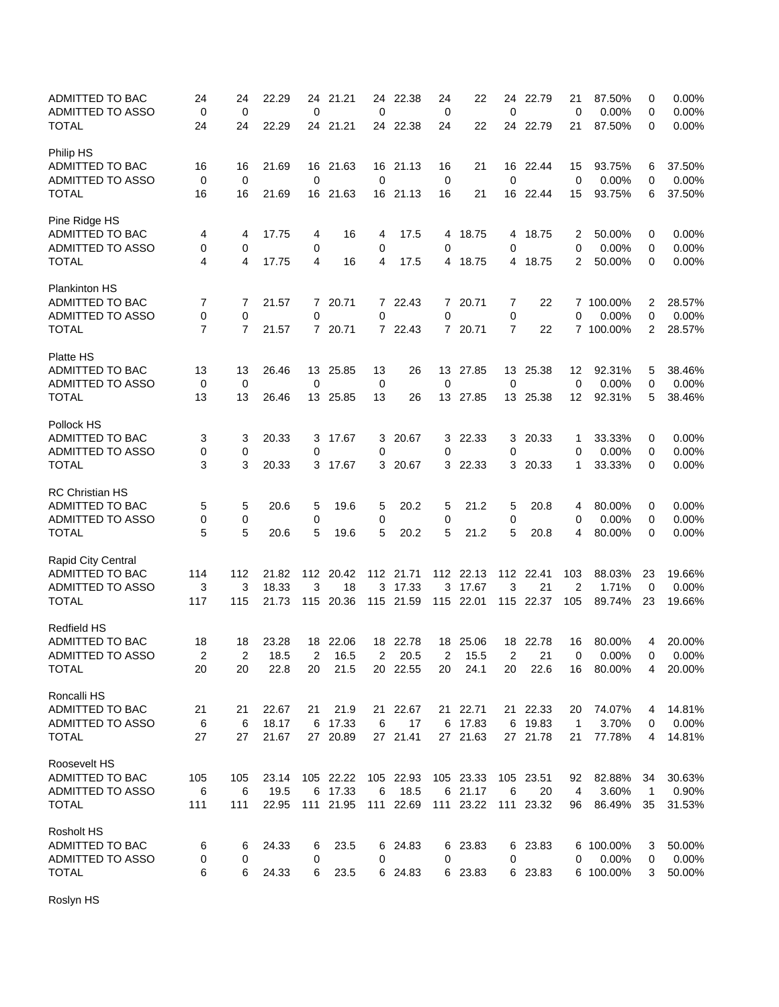| <b>TOTAL</b><br>24<br>22.29<br>24<br>21.21<br>22.38<br>24<br>22<br>24<br>22.79<br>21<br>87.50%<br>24<br>24<br>0<br>Philip HS<br>21.69<br>21.63<br>21<br>22.44<br>ADMITTED TO BAC<br>16<br>16<br>16<br>16<br>21.13<br>16<br>16<br>15<br>93.75%<br>6<br>$\mathbf 0$<br>ADMITTED TO ASSO<br>0<br>0<br>0<br>0<br>0<br>$\mathbf 0$<br>0.00%<br>0<br><b>TOTAL</b><br>16 21.63<br>16<br>21<br>22.44<br>15<br>93.75%<br>6<br>16<br>16<br>21.69<br>16 21.13<br>16<br>Pine Ridge HS<br>ADMITTED TO BAC<br>16<br>4<br>17.75<br>17.5<br>18.75<br>18.75<br>2<br>50.00%<br>0<br>4<br>4<br>4<br>4<br>4<br>ADMITTED TO ASSO<br>0<br>0<br>0<br>$\mathbf 0$<br>0<br>0.00%<br>0<br>0<br>0<br><b>TOTAL</b><br>4<br>17.75<br>4<br>16<br>4<br>17.5<br>18.75<br>4 18.75<br>2<br>50.00%<br>0<br>4<br>4<br><b>Plankinton HS</b><br>ADMITTED TO BAC<br>7 22.43<br>20.71<br>22<br>7<br>7<br>21.57<br>20.71<br>7<br>7 100.00%<br>2<br>7<br>7<br>0<br>$\mathbf 0$<br>0<br><b>ADMITTED TO ASSO</b><br>0<br>0<br>0<br>0<br>0<br>0.00%<br>$\overline{7}$<br>$\overline{7}$<br>7<br>22<br>2<br>TOTAL<br>21.57<br>7 20.71<br>7 22.43<br>7 20.71<br>7 100.00%<br>Platte HS<br>ADMITTED TO BAC<br>13<br>13<br>26.46<br>13<br>25.85<br>13<br>26<br>13<br>27.85<br>13<br>25.38<br>12<br>92.31%<br>5<br><b>ADMITTED TO ASSO</b><br>0<br>0<br>0<br>0<br>0<br>$\mathbf 0$<br>0.00%<br>0<br>0<br>13<br><b>TOTAL</b><br>13<br>13<br>26.46<br>13<br>13<br>27.85<br>25.38<br>12<br>92.31%<br>5<br>25.85<br>26<br>13<br>Pollock HS<br>ADMITTED TO BAC<br>3<br>3<br>20.33<br>17.67<br>3<br>20.67<br>3<br>22.33<br>3<br>20.33<br>33.33%<br>0<br>3<br>1<br>ADMITTED TO ASSO<br>0.00%<br>0<br>0<br>0<br>0<br>0<br>0<br>0<br>0<br><b>TOTAL</b><br>3<br>3<br>17.67<br>22.33<br>3 20.33<br>33.33%<br>20.33<br>3<br>3 20.67<br>3<br>1<br>0<br><b>RC Christian HS</b><br>5<br>19.6<br>20.2<br>5<br>21.2<br>5<br>20.8<br>80.00%<br>ADMITTED TO BAC<br>5<br>20.6<br>5<br>5<br>0<br>4<br>ADMITTED TO ASSO<br>0<br>0<br>0.00%<br>0<br>0<br>0<br>0<br>0<br>0<br>5<br>5<br>5<br><b>TOTAL</b><br>5<br>5<br>5<br>0<br>20.6<br>19.6<br>20.2<br>21.2<br>20.8<br>4<br>80.00%<br>Rapid City Central<br>ADMITTED TO BAC<br>112<br>114<br>21.82<br>112 20.42<br>112 21.71<br>112 22.13<br>112 22.41<br>103<br>88.03%<br>23<br>3<br>3<br>3<br>3<br>ADMITTED TO ASSO<br>3<br>18.33<br>18<br>17.33<br>3<br>17.67<br>21<br>2<br>1.71%<br>0 | 0.00%<br>37.50%<br>0.00%<br>37.50%<br>$0.00\%$<br>0.00%<br>0.00%<br>28.57%<br>0.00%<br>28.57%<br>38.46%<br>0.00%<br>38.46%<br>$0.00\%$<br>0.00%<br>0.00% |
|-------------------------------------------------------------------------------------------------------------------------------------------------------------------------------------------------------------------------------------------------------------------------------------------------------------------------------------------------------------------------------------------------------------------------------------------------------------------------------------------------------------------------------------------------------------------------------------------------------------------------------------------------------------------------------------------------------------------------------------------------------------------------------------------------------------------------------------------------------------------------------------------------------------------------------------------------------------------------------------------------------------------------------------------------------------------------------------------------------------------------------------------------------------------------------------------------------------------------------------------------------------------------------------------------------------------------------------------------------------------------------------------------------------------------------------------------------------------------------------------------------------------------------------------------------------------------------------------------------------------------------------------------------------------------------------------------------------------------------------------------------------------------------------------------------------------------------------------------------------------------------------------------------------------------------------------------------------------------------------------------------------------------------------------------------------------------------------------------------------------------------------------------------------------------------------------------------------------------------------------------------------------------------------------------------------------------------------------------------------------|----------------------------------------------------------------------------------------------------------------------------------------------------------|
|                                                                                                                                                                                                                                                                                                                                                                                                                                                                                                                                                                                                                                                                                                                                                                                                                                                                                                                                                                                                                                                                                                                                                                                                                                                                                                                                                                                                                                                                                                                                                                                                                                                                                                                                                                                                                                                                                                                                                                                                                                                                                                                                                                                                                                                                                                                                                                   |                                                                                                                                                          |
|                                                                                                                                                                                                                                                                                                                                                                                                                                                                                                                                                                                                                                                                                                                                                                                                                                                                                                                                                                                                                                                                                                                                                                                                                                                                                                                                                                                                                                                                                                                                                                                                                                                                                                                                                                                                                                                                                                                                                                                                                                                                                                                                                                                                                                                                                                                                                                   |                                                                                                                                                          |
|                                                                                                                                                                                                                                                                                                                                                                                                                                                                                                                                                                                                                                                                                                                                                                                                                                                                                                                                                                                                                                                                                                                                                                                                                                                                                                                                                                                                                                                                                                                                                                                                                                                                                                                                                                                                                                                                                                                                                                                                                                                                                                                                                                                                                                                                                                                                                                   |                                                                                                                                                          |
|                                                                                                                                                                                                                                                                                                                                                                                                                                                                                                                                                                                                                                                                                                                                                                                                                                                                                                                                                                                                                                                                                                                                                                                                                                                                                                                                                                                                                                                                                                                                                                                                                                                                                                                                                                                                                                                                                                                                                                                                                                                                                                                                                                                                                                                                                                                                                                   |                                                                                                                                                          |
|                                                                                                                                                                                                                                                                                                                                                                                                                                                                                                                                                                                                                                                                                                                                                                                                                                                                                                                                                                                                                                                                                                                                                                                                                                                                                                                                                                                                                                                                                                                                                                                                                                                                                                                                                                                                                                                                                                                                                                                                                                                                                                                                                                                                                                                                                                                                                                   |                                                                                                                                                          |
|                                                                                                                                                                                                                                                                                                                                                                                                                                                                                                                                                                                                                                                                                                                                                                                                                                                                                                                                                                                                                                                                                                                                                                                                                                                                                                                                                                                                                                                                                                                                                                                                                                                                                                                                                                                                                                                                                                                                                                                                                                                                                                                                                                                                                                                                                                                                                                   |                                                                                                                                                          |
|                                                                                                                                                                                                                                                                                                                                                                                                                                                                                                                                                                                                                                                                                                                                                                                                                                                                                                                                                                                                                                                                                                                                                                                                                                                                                                                                                                                                                                                                                                                                                                                                                                                                                                                                                                                                                                                                                                                                                                                                                                                                                                                                                                                                                                                                                                                                                                   |                                                                                                                                                          |
|                                                                                                                                                                                                                                                                                                                                                                                                                                                                                                                                                                                                                                                                                                                                                                                                                                                                                                                                                                                                                                                                                                                                                                                                                                                                                                                                                                                                                                                                                                                                                                                                                                                                                                                                                                                                                                                                                                                                                                                                                                                                                                                                                                                                                                                                                                                                                                   |                                                                                                                                                          |
|                                                                                                                                                                                                                                                                                                                                                                                                                                                                                                                                                                                                                                                                                                                                                                                                                                                                                                                                                                                                                                                                                                                                                                                                                                                                                                                                                                                                                                                                                                                                                                                                                                                                                                                                                                                                                                                                                                                                                                                                                                                                                                                                                                                                                                                                                                                                                                   |                                                                                                                                                          |
|                                                                                                                                                                                                                                                                                                                                                                                                                                                                                                                                                                                                                                                                                                                                                                                                                                                                                                                                                                                                                                                                                                                                                                                                                                                                                                                                                                                                                                                                                                                                                                                                                                                                                                                                                                                                                                                                                                                                                                                                                                                                                                                                                                                                                                                                                                                                                                   |                                                                                                                                                          |
|                                                                                                                                                                                                                                                                                                                                                                                                                                                                                                                                                                                                                                                                                                                                                                                                                                                                                                                                                                                                                                                                                                                                                                                                                                                                                                                                                                                                                                                                                                                                                                                                                                                                                                                                                                                                                                                                                                                                                                                                                                                                                                                                                                                                                                                                                                                                                                   |                                                                                                                                                          |
|                                                                                                                                                                                                                                                                                                                                                                                                                                                                                                                                                                                                                                                                                                                                                                                                                                                                                                                                                                                                                                                                                                                                                                                                                                                                                                                                                                                                                                                                                                                                                                                                                                                                                                                                                                                                                                                                                                                                                                                                                                                                                                                                                                                                                                                                                                                                                                   |                                                                                                                                                          |
|                                                                                                                                                                                                                                                                                                                                                                                                                                                                                                                                                                                                                                                                                                                                                                                                                                                                                                                                                                                                                                                                                                                                                                                                                                                                                                                                                                                                                                                                                                                                                                                                                                                                                                                                                                                                                                                                                                                                                                                                                                                                                                                                                                                                                                                                                                                                                                   |                                                                                                                                                          |
|                                                                                                                                                                                                                                                                                                                                                                                                                                                                                                                                                                                                                                                                                                                                                                                                                                                                                                                                                                                                                                                                                                                                                                                                                                                                                                                                                                                                                                                                                                                                                                                                                                                                                                                                                                                                                                                                                                                                                                                                                                                                                                                                                                                                                                                                                                                                                                   |                                                                                                                                                          |
|                                                                                                                                                                                                                                                                                                                                                                                                                                                                                                                                                                                                                                                                                                                                                                                                                                                                                                                                                                                                                                                                                                                                                                                                                                                                                                                                                                                                                                                                                                                                                                                                                                                                                                                                                                                                                                                                                                                                                                                                                                                                                                                                                                                                                                                                                                                                                                   |                                                                                                                                                          |
|                                                                                                                                                                                                                                                                                                                                                                                                                                                                                                                                                                                                                                                                                                                                                                                                                                                                                                                                                                                                                                                                                                                                                                                                                                                                                                                                                                                                                                                                                                                                                                                                                                                                                                                                                                                                                                                                                                                                                                                                                                                                                                                                                                                                                                                                                                                                                                   |                                                                                                                                                          |
|                                                                                                                                                                                                                                                                                                                                                                                                                                                                                                                                                                                                                                                                                                                                                                                                                                                                                                                                                                                                                                                                                                                                                                                                                                                                                                                                                                                                                                                                                                                                                                                                                                                                                                                                                                                                                                                                                                                                                                                                                                                                                                                                                                                                                                                                                                                                                                   |                                                                                                                                                          |
|                                                                                                                                                                                                                                                                                                                                                                                                                                                                                                                                                                                                                                                                                                                                                                                                                                                                                                                                                                                                                                                                                                                                                                                                                                                                                                                                                                                                                                                                                                                                                                                                                                                                                                                                                                                                                                                                                                                                                                                                                                                                                                                                                                                                                                                                                                                                                                   |                                                                                                                                                          |
|                                                                                                                                                                                                                                                                                                                                                                                                                                                                                                                                                                                                                                                                                                                                                                                                                                                                                                                                                                                                                                                                                                                                                                                                                                                                                                                                                                                                                                                                                                                                                                                                                                                                                                                                                                                                                                                                                                                                                                                                                                                                                                                                                                                                                                                                                                                                                                   |                                                                                                                                                          |
|                                                                                                                                                                                                                                                                                                                                                                                                                                                                                                                                                                                                                                                                                                                                                                                                                                                                                                                                                                                                                                                                                                                                                                                                                                                                                                                                                                                                                                                                                                                                                                                                                                                                                                                                                                                                                                                                                                                                                                                                                                                                                                                                                                                                                                                                                                                                                                   |                                                                                                                                                          |
|                                                                                                                                                                                                                                                                                                                                                                                                                                                                                                                                                                                                                                                                                                                                                                                                                                                                                                                                                                                                                                                                                                                                                                                                                                                                                                                                                                                                                                                                                                                                                                                                                                                                                                                                                                                                                                                                                                                                                                                                                                                                                                                                                                                                                                                                                                                                                                   |                                                                                                                                                          |
|                                                                                                                                                                                                                                                                                                                                                                                                                                                                                                                                                                                                                                                                                                                                                                                                                                                                                                                                                                                                                                                                                                                                                                                                                                                                                                                                                                                                                                                                                                                                                                                                                                                                                                                                                                                                                                                                                                                                                                                                                                                                                                                                                                                                                                                                                                                                                                   |                                                                                                                                                          |
|                                                                                                                                                                                                                                                                                                                                                                                                                                                                                                                                                                                                                                                                                                                                                                                                                                                                                                                                                                                                                                                                                                                                                                                                                                                                                                                                                                                                                                                                                                                                                                                                                                                                                                                                                                                                                                                                                                                                                                                                                                                                                                                                                                                                                                                                                                                                                                   | 0.00%                                                                                                                                                    |
|                                                                                                                                                                                                                                                                                                                                                                                                                                                                                                                                                                                                                                                                                                                                                                                                                                                                                                                                                                                                                                                                                                                                                                                                                                                                                                                                                                                                                                                                                                                                                                                                                                                                                                                                                                                                                                                                                                                                                                                                                                                                                                                                                                                                                                                                                                                                                                   | 0.00%                                                                                                                                                    |
|                                                                                                                                                                                                                                                                                                                                                                                                                                                                                                                                                                                                                                                                                                                                                                                                                                                                                                                                                                                                                                                                                                                                                                                                                                                                                                                                                                                                                                                                                                                                                                                                                                                                                                                                                                                                                                                                                                                                                                                                                                                                                                                                                                                                                                                                                                                                                                   | 0.00%                                                                                                                                                    |
|                                                                                                                                                                                                                                                                                                                                                                                                                                                                                                                                                                                                                                                                                                                                                                                                                                                                                                                                                                                                                                                                                                                                                                                                                                                                                                                                                                                                                                                                                                                                                                                                                                                                                                                                                                                                                                                                                                                                                                                                                                                                                                                                                                                                                                                                                                                                                                   |                                                                                                                                                          |
|                                                                                                                                                                                                                                                                                                                                                                                                                                                                                                                                                                                                                                                                                                                                                                                                                                                                                                                                                                                                                                                                                                                                                                                                                                                                                                                                                                                                                                                                                                                                                                                                                                                                                                                                                                                                                                                                                                                                                                                                                                                                                                                                                                                                                                                                                                                                                                   | 19.66%                                                                                                                                                   |
|                                                                                                                                                                                                                                                                                                                                                                                                                                                                                                                                                                                                                                                                                                                                                                                                                                                                                                                                                                                                                                                                                                                                                                                                                                                                                                                                                                                                                                                                                                                                                                                                                                                                                                                                                                                                                                                                                                                                                                                                                                                                                                                                                                                                                                                                                                                                                                   | 0.00%                                                                                                                                                    |
| 22.01<br><b>TOTAL</b><br>117<br>115<br>21.73<br>115<br>20.36<br>115 21.59<br>115<br>115<br>22.37<br>105<br>89.74%<br>23                                                                                                                                                                                                                                                                                                                                                                                                                                                                                                                                                                                                                                                                                                                                                                                                                                                                                                                                                                                                                                                                                                                                                                                                                                                                                                                                                                                                                                                                                                                                                                                                                                                                                                                                                                                                                                                                                                                                                                                                                                                                                                                                                                                                                                           | 19.66%                                                                                                                                                   |
| <b>Redfield HS</b>                                                                                                                                                                                                                                                                                                                                                                                                                                                                                                                                                                                                                                                                                                                                                                                                                                                                                                                                                                                                                                                                                                                                                                                                                                                                                                                                                                                                                                                                                                                                                                                                                                                                                                                                                                                                                                                                                                                                                                                                                                                                                                                                                                                                                                                                                                                                                |                                                                                                                                                          |
| 22.06<br>22.78<br>ADMITTED TO BAC<br>18<br>18<br>23.28<br>18<br>18<br>22.78<br>18<br>25.06<br>18<br>80.00%<br>16<br>4                                                                                                                                                                                                                                                                                                                                                                                                                                                                                                                                                                                                                                                                                                                                                                                                                                                                                                                                                                                                                                                                                                                                                                                                                                                                                                                                                                                                                                                                                                                                                                                                                                                                                                                                                                                                                                                                                                                                                                                                                                                                                                                                                                                                                                             | 20.00%                                                                                                                                                   |
| $\overline{2}$<br>$\overline{2}$<br><b>ADMITTED TO ASSO</b><br>2<br>18.5<br>2<br>16.5<br>20.5<br>2<br>21<br>0.00%<br>0<br>2<br>15.5<br>0                                                                                                                                                                                                                                                                                                                                                                                                                                                                                                                                                                                                                                                                                                                                                                                                                                                                                                                                                                                                                                                                                                                                                                                                                                                                                                                                                                                                                                                                                                                                                                                                                                                                                                                                                                                                                                                                                                                                                                                                                                                                                                                                                                                                                          | 0.00%                                                                                                                                                    |
| <b>TOTAL</b><br>20<br>20<br>22.8<br>20<br>21.5<br>20 22.55<br>20<br>24.1<br>20<br>22.6<br>16 80.00%<br>4                                                                                                                                                                                                                                                                                                                                                                                                                                                                                                                                                                                                                                                                                                                                                                                                                                                                                                                                                                                                                                                                                                                                                                                                                                                                                                                                                                                                                                                                                                                                                                                                                                                                                                                                                                                                                                                                                                                                                                                                                                                                                                                                                                                                                                                          | 20.00%                                                                                                                                                   |
| Roncalli HS                                                                                                                                                                                                                                                                                                                                                                                                                                                                                                                                                                                                                                                                                                                                                                                                                                                                                                                                                                                                                                                                                                                                                                                                                                                                                                                                                                                                                                                                                                                                                                                                                                                                                                                                                                                                                                                                                                                                                                                                                                                                                                                                                                                                                                                                                                                                                       |                                                                                                                                                          |
| ADMITTED TO BAC<br>22.67<br>21 22.67<br>21 22.71<br>21 22.33<br>74.07%<br>21<br>21.9<br>21<br>21<br>20<br>4                                                                                                                                                                                                                                                                                                                                                                                                                                                                                                                                                                                                                                                                                                                                                                                                                                                                                                                                                                                                                                                                                                                                                                                                                                                                                                                                                                                                                                                                                                                                                                                                                                                                                                                                                                                                                                                                                                                                                                                                                                                                                                                                                                                                                                                       | 14.81%                                                                                                                                                   |
| ADMITTED TO ASSO<br>6<br>18.17<br>6 17.33<br>6<br>17<br>6 17.83<br>6 19.83<br>6<br>$\mathbf{1}$<br>3.70%<br>0                                                                                                                                                                                                                                                                                                                                                                                                                                                                                                                                                                                                                                                                                                                                                                                                                                                                                                                                                                                                                                                                                                                                                                                                                                                                                                                                                                                                                                                                                                                                                                                                                                                                                                                                                                                                                                                                                                                                                                                                                                                                                                                                                                                                                                                     | 0.00%                                                                                                                                                    |
| 27 21.41<br>27 21.63<br><b>TOTAL</b><br>27<br>21.67<br>27 20.89<br>27 21.78<br>77.78%<br>27<br>21<br>4                                                                                                                                                                                                                                                                                                                                                                                                                                                                                                                                                                                                                                                                                                                                                                                                                                                                                                                                                                                                                                                                                                                                                                                                                                                                                                                                                                                                                                                                                                                                                                                                                                                                                                                                                                                                                                                                                                                                                                                                                                                                                                                                                                                                                                                            | 14.81%                                                                                                                                                   |
| Roosevelt HS                                                                                                                                                                                                                                                                                                                                                                                                                                                                                                                                                                                                                                                                                                                                                                                                                                                                                                                                                                                                                                                                                                                                                                                                                                                                                                                                                                                                                                                                                                                                                                                                                                                                                                                                                                                                                                                                                                                                                                                                                                                                                                                                                                                                                                                                                                                                                      |                                                                                                                                                          |
| ADMITTED TO BAC<br>105 22.22<br>105 22.93<br>105<br>23.14<br>105 23.33<br>105 23.51<br>82.88%<br>34<br>105<br>92                                                                                                                                                                                                                                                                                                                                                                                                                                                                                                                                                                                                                                                                                                                                                                                                                                                                                                                                                                                                                                                                                                                                                                                                                                                                                                                                                                                                                                                                                                                                                                                                                                                                                                                                                                                                                                                                                                                                                                                                                                                                                                                                                                                                                                                  | 30.63%                                                                                                                                                   |
| 6<br>6 21.17<br>ADMITTED TO ASSO<br>6<br>6<br>19.5<br>6 17.33<br>18.5<br>6<br>20<br>3.60%<br>4<br>$\mathbf{1}$                                                                                                                                                                                                                                                                                                                                                                                                                                                                                                                                                                                                                                                                                                                                                                                                                                                                                                                                                                                                                                                                                                                                                                                                                                                                                                                                                                                                                                                                                                                                                                                                                                                                                                                                                                                                                                                                                                                                                                                                                                                                                                                                                                                                                                                    | 0.90%                                                                                                                                                    |
| 111 22.69<br><b>TOTAL</b><br>111<br>22.95<br>111 21.95<br>111 23.22<br>111 23.32<br>86.49%<br>111<br>96<br>35                                                                                                                                                                                                                                                                                                                                                                                                                                                                                                                                                                                                                                                                                                                                                                                                                                                                                                                                                                                                                                                                                                                                                                                                                                                                                                                                                                                                                                                                                                                                                                                                                                                                                                                                                                                                                                                                                                                                                                                                                                                                                                                                                                                                                                                     | 31.53%                                                                                                                                                   |
| <b>Rosholt HS</b>                                                                                                                                                                                                                                                                                                                                                                                                                                                                                                                                                                                                                                                                                                                                                                                                                                                                                                                                                                                                                                                                                                                                                                                                                                                                                                                                                                                                                                                                                                                                                                                                                                                                                                                                                                                                                                                                                                                                                                                                                                                                                                                                                                                                                                                                                                                                                 |                                                                                                                                                          |
| ADMITTED TO BAC<br>24.33<br>23.5<br>6 24.83<br>6 23.83<br>6 23.83<br>6 100.00%<br>6<br>6<br>3<br>6                                                                                                                                                                                                                                                                                                                                                                                                                                                                                                                                                                                                                                                                                                                                                                                                                                                                                                                                                                                                                                                                                                                                                                                                                                                                                                                                                                                                                                                                                                                                                                                                                                                                                                                                                                                                                                                                                                                                                                                                                                                                                                                                                                                                                                                                | 50.00%                                                                                                                                                   |
| ADMITTED TO ASSO<br>0.00%<br>0<br>0<br>0<br>0<br>0<br>0<br>0<br>0                                                                                                                                                                                                                                                                                                                                                                                                                                                                                                                                                                                                                                                                                                                                                                                                                                                                                                                                                                                                                                                                                                                                                                                                                                                                                                                                                                                                                                                                                                                                                                                                                                                                                                                                                                                                                                                                                                                                                                                                                                                                                                                                                                                                                                                                                                 | 0.00%                                                                                                                                                    |
| <b>TOTAL</b><br>6<br>6<br>24.33<br>6<br>23.5<br>6 24.83<br>6 23.83<br>6 23.83<br>6 100.00%<br>3                                                                                                                                                                                                                                                                                                                                                                                                                                                                                                                                                                                                                                                                                                                                                                                                                                                                                                                                                                                                                                                                                                                                                                                                                                                                                                                                                                                                                                                                                                                                                                                                                                                                                                                                                                                                                                                                                                                                                                                                                                                                                                                                                                                                                                                                   | 50.00%                                                                                                                                                   |

Roslyn HS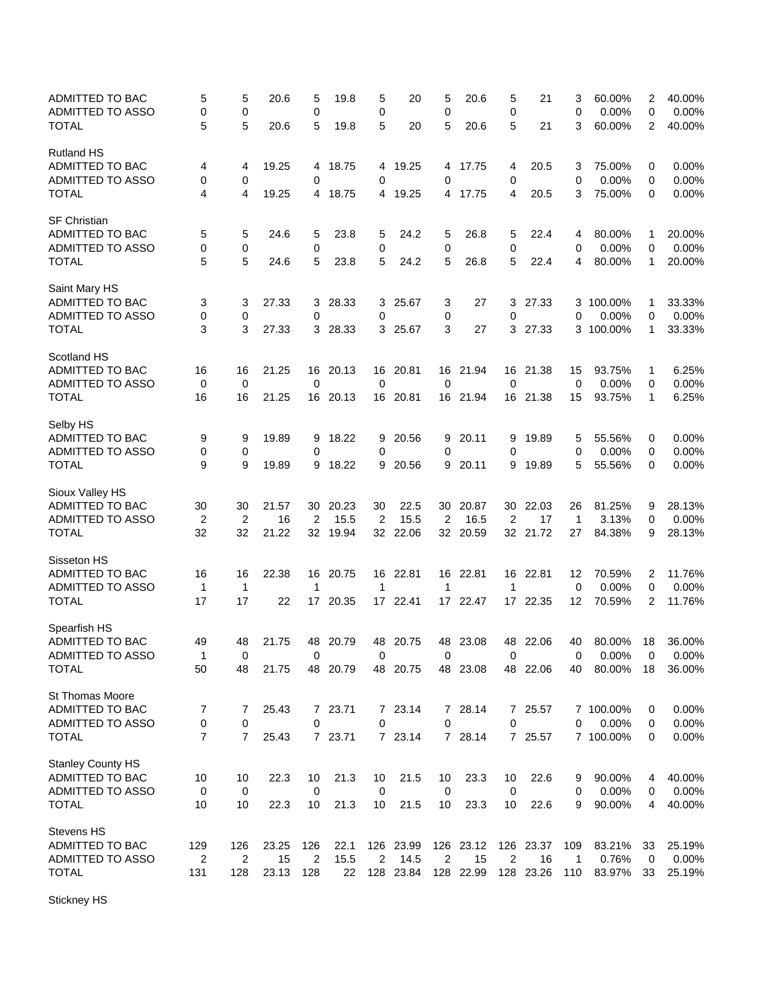| ADMITTED TO BAC<br><b>ADMITTED TO ASSO</b> | 5<br>0             | 5<br>0  | 20.6  | 5<br>0      | 19.8     | 5<br>0           | 20        | 5<br>0 | 20.6      | 5<br>$\mathbf 0$ | 21        | 3<br>0      | 60.00%<br>0.00%    | 2<br>0      | 40.00%<br>0.00% |
|--------------------------------------------|--------------------|---------|-------|-------------|----------|------------------|-----------|--------|-----------|------------------|-----------|-------------|--------------------|-------------|-----------------|
| <b>TOTAL</b>                               | 5                  | 5       | 20.6  | 5           | 19.8     | 5                | 20        | 5      | 20.6      | 5                | 21        | 3           | 60.00%             | 2           | 40.00%          |
| <b>Rutland HS</b><br>ADMITTED TO BAC       |                    |         | 19.25 |             | 18.75    |                  | 19.25     |        |           |                  | 20.5      |             | 75.00%             |             | 0.00%           |
| ADMITTED TO ASSO                           | 4<br>0             | 4<br>0  |       | 4<br>0      |          | 4<br>0           |           | 4<br>0 | 17.75     | 4<br>0           |           | 3<br>0      | 0.00%              | 0<br>0      | 0.00%           |
| <b>TOTAL</b>                               | 4                  | 4       | 19.25 | 4           | 18.75    | 4                | 19.25     | 4      | 17.75     | 4                | 20.5      | 3           | 75.00%             | 0           | 0.00%           |
| <b>SF Christian</b>                        |                    |         |       |             |          |                  |           |        |           |                  |           |             |                    |             |                 |
| ADMITTED TO BAC                            | 5                  | 5       | 24.6  | 5           | 23.8     | 5                | 24.2      | 5      | 26.8      | 5                | 22.4      | 4           | 80.00%             | 1           | 20.00%          |
| ADMITTED TO ASSO                           | 0                  | 0       |       | 0           |          | 0                |           | 0      |           | $\mathbf 0$      |           | 0           | 0.00%              | 0           | 0.00%           |
| <b>TOTAL</b>                               | 5                  | 5       | 24.6  | 5           | 23.8     | 5                | 24.2      | 5      | 26.8      | 5                | 22.4      | 4           | 80.00%             | 1           | 20.00%          |
| Saint Mary HS<br>ADMITTED TO BAC           |                    |         | 27.33 |             | 28.33    |                  |           |        | 27        |                  |           |             | 3 100.00%          |             | 33.33%          |
|                                            | 3                  | 3       |       | 3           |          | 3<br>$\mathbf 0$ | 25.67     | 3      |           | 3                | 27.33     |             |                    | 1           |                 |
| ADMITTED TO ASSO<br>TOTAL                  | 0<br>3             | 0<br>3  | 27.33 | 0           | 3 28.33  |                  | 3 25.67   | 0<br>3 | 27        | 0                | 3 27.33   | 0           | 0.00%<br>3 100.00% | 0<br>1      | 0.00%<br>33.33% |
| Scotland HS                                |                    |         |       |             |          |                  |           |        |           |                  |           |             |                    |             |                 |
| ADMITTED TO BAC                            | 16                 | 16      | 21.25 | 16          | 20.13    | 16               | 20.81     | 16     | 21.94     | 16               | 21.38     | 15          | 93.75%             | 1           | 6.25%           |
| <b>ADMITTED TO ASSO</b>                    | 0                  | 0       |       | 0           |          | 0                |           | 0      |           | 0                |           | $\mathbf 0$ | 0.00%              | 0           | 0.00%           |
| <b>TOTAL</b>                               | 16                 | 16      | 21.25 | 16          | 20.13    | 16               | 20.81     | 16     | 21.94     | 16               | 21.38     | 15          | 93.75%             | 1           | 6.25%           |
| Selby HS                                   |                    |         |       |             |          |                  |           |        |           |                  |           |             |                    |             |                 |
| ADMITTED TO BAC                            | 9                  | 9       | 19.89 | 9           | 18.22    | 9                | 20.56     | 9      | 20.11     | 9                | 19.89     | 5           | 55.56%             | 0           | 0.00%           |
| ADMITTED TO ASSO                           | 0                  | 0       |       | 0           |          | 0                |           | 0      |           | 0                |           | 0           | 0.00%              | 0           | 0.00%           |
| <b>TOTAL</b>                               | 9                  | 9       | 19.89 | 9           | 18.22    | 9                | 20.56     | 9      | 20.11     | 9                | 19.89     | 5           | 55.56%             | 0           | 0.00%           |
| Sioux Valley HS<br>ADMITTED TO BAC         | 30                 | 30      | 21.57 | 30          | 20.23    | 30               | 22.5      | 30     | 20.87     | 30               | 22.03     | 26          | 81.25%             | 9           | 28.13%          |
| ADMITTED TO ASSO                           | $\overline{2}$     | 2       | 16    | 2           | 15.5     | 2                | 15.5      | 2      | 16.5      | 2                | 17        | 1           | 3.13%              | 0           | 0.00%           |
| <b>TOTAL</b>                               | 32                 | 32      | 21.22 | 32          | 19.94    | 32               | 22.06     | 32     | 20.59     |                  | 32 21.72  | 27          | 84.38%             | 9           | 28.13%          |
| Sisseton HS                                |                    |         |       |             |          |                  |           |        |           |                  |           |             |                    |             |                 |
| ADMITTED TO BAC                            | 16                 | 16      | 22.38 | 16          | 20.75    | 16               | 22.81     | 16     | 22.81     | 16               | 22.81     | 12          | 70.59%             | 2           | 11.76%          |
| ADMITTED TO ASSO                           | $\mathbf 1$        | 1       |       | 1           |          | 1                |           | 1      |           | 1                |           | 0           | 0.00%              | 0           | 0.00%           |
| <b>TOTAL</b>                               | 17                 | 17      | 22    | 17          | 20.35    | 17               | 22.41     |        | 17 22.47  | 17               | 22.35     | 12          | 70.59%             | 2           | 11.76%          |
| Spearfish HS                               |                    |         |       |             |          |                  |           |        |           |                  |           |             |                    |             |                 |
| ADMITTED TO BAC                            | 49                 | 48      | 21.75 | 48          | 20.79    | 48               | 20.75     | 48     | 23.08     | 48               | 22.06     | 40          | 80.00%             | 18          | 36.00%          |
| ADMITTED TO ASSO<br><b>TOTAL</b>           | $\mathbf{1}$<br>50 | 0<br>48 | 21.75 | $\mathbf 0$ | 48 20.79 | $\mathbf 0$      | 48 20.75  | 0      | 48 23.08  | $\mathbf 0$      | 48 22.06  | 0<br>40     | 0.00%<br>80.00%    | 0<br>18     | 0.00%<br>36.00% |
| <b>St Thomas Moore</b>                     |                    |         |       |             |          |                  |           |        |           |                  |           |             |                    |             |                 |
| ADMITTED TO BAC                            | 7                  | 7       | 25.43 |             | 7 23.71  |                  | 7 23.14   | 7      | 28.14     |                  | 7 25.57   |             | 7 100.00%          | 0           | 0.00%           |
| ADMITTED TO ASSO                           | 0                  | 0       |       | 0           |          | 0                |           | 0      |           | 0                |           | 0           | 0.00%              | 0           | 0.00%           |
| <b>TOTAL</b>                               | $\overline{7}$     | 7       | 25.43 |             | 7 23.71  |                  | 7 23.14   |        | 7 28.14   |                  | 7 25.57   |             | 7 100.00%          | 0           | 0.00%           |
| <b>Stanley County HS</b>                   |                    |         |       |             |          |                  |           |        |           |                  |           |             |                    |             |                 |
| ADMITTED TO BAC                            | 10                 | 10      | 22.3  | 10          | 21.3     | 10               | 21.5      | 10     | 23.3      | 10               | 22.6      | 9           | 90.00%             | 4           | 40.00%          |
| <b>ADMITTED TO ASSO</b>                    | $\mathbf 0$        | 0       |       | 0           |          | 0                |           | 0      |           | $\mathbf 0$      |           | 0           | 0.00%              | 0           | 0.00%           |
| <b>TOTAL</b>                               | 10                 | 10      | 22.3  | 10          | 21.3     | 10               | 21.5      | 10     | 23.3      | 10               | 22.6      | 9           | 90.00%             | 4           | 40.00%          |
| <b>Stevens HS</b>                          |                    |         |       |             |          |                  |           |        |           |                  |           |             |                    |             |                 |
| ADMITTED TO BAC                            | 129                | 126     | 23.25 | 126         | 22.1     |                  | 126 23.99 |        | 126 23.12 |                  | 126 23.37 | 109         | 83.21%             | 33          | 25.19%          |
| ADMITTED TO ASSO                           | $\overline{c}$     | 2       | 15    | $\sqrt{2}$  | 15.5     | 2                | 14.5      | 2      | 15        | $\sqrt{2}$       | 16        | 1           | 0.76%              | $\mathbf 0$ | 0.00%           |
| <b>TOTAL</b>                               | 131                | 128     | 23.13 | 128         | 22       |                  | 128 23.84 |        | 128 22.99 |                  | 128 23.26 | 110         | 83.97%             | 33          | 25.19%          |

Stickney HS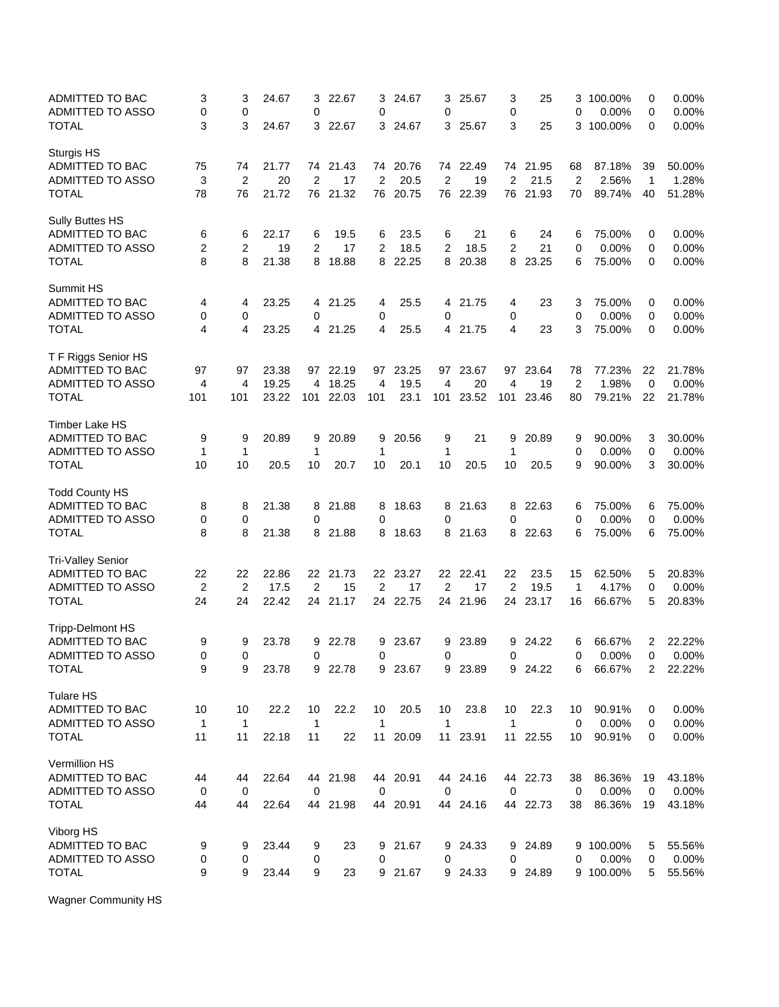| ADMITTED TO BAC<br>ADMITTED TO ASSO | 3<br>0         | 3<br>0         | 24.67 | 3<br>0         | 22.67     | 3<br>0         | 24.67    | 3<br>0         | 25.67    | 3<br>0         | 25       | 3<br>0         | 100.00%<br>0.00% | 0<br>0         | 0.00%<br>0.00% |
|-------------------------------------|----------------|----------------|-------|----------------|-----------|----------------|----------|----------------|----------|----------------|----------|----------------|------------------|----------------|----------------|
| TOTAL                               | 3              | 3              | 24.67 | 3              | 22.67     | 3              | 24.67    | 3              | 25.67    | 3              | 25       | 3              | 100.00%          | 0              | 0.00%          |
| <b>Sturgis HS</b>                   |                |                |       |                |           |                |          |                |          |                |          |                |                  |                |                |
| ADMITTED TO BAC                     | 75             | 74             | 21.77 |                | 74 21.43  |                | 74 20.76 |                | 74 22.49 |                | 74 21.95 | 68             | 87.18%           | 39             | 50.00%         |
| <b>ADMITTED TO ASSO</b>             | 3              | $\overline{2}$ | 20    | $\overline{c}$ | 17        | $\overline{c}$ | 20.5     | $\overline{2}$ | 19       | $\overline{c}$ | 21.5     | $\overline{2}$ | 2.56%            | $\mathbf{1}$   | 1.28%          |
| <b>TOTAL</b>                        | 78             | 76             | 21.72 |                | 76 21.32  | 76             | 20.75    | 76             | 22.39    | 76             | 21.93    | 70             | 89.74%           | 40             | 51.28%         |
| Sully Buttes HS                     |                |                |       |                |           |                |          |                |          |                |          |                |                  |                |                |
| ADMITTED TO BAC                     | 6              | 6              | 22.17 | 6              | 19.5      | 6              | 23.5     | 6              | 21       | 6              | 24       | 6              | 75.00%           | 0              | 0.00%          |
| <b>ADMITTED TO ASSO</b>             | 2              | 2              | 19    | 2              | 17        | $\overline{2}$ | 18.5     | 2              | 18.5     | $\overline{2}$ | 21       | 0              | 0.00%            | 0              | 0.00%          |
| <b>TOTAL</b>                        | 8              | 8              | 21.38 | 8              | 18.88     | 8              | 22.25    | 8              | 20.38    | 8              | 23.25    | 6              | 75.00%           | 0              | 0.00%          |
| Summit HS                           |                |                |       |                |           |                |          |                |          |                |          |                |                  |                |                |
| ADMITTED TO BAC                     | 4              | 4              | 23.25 | 4              | 21.25     | 4              | 25.5     | 4              | 21.75    | 4              | 23       | 3              | 75.00%           | 0              | $0.00\%$       |
| <b>ADMITTED TO ASSO</b>             | 0              | 0              |       | 0              |           | 0              |          | 0              |          | 0              |          | 0              | 0.00%            | 0              | 0.00%          |
| <b>TOTAL</b>                        | 4              | 4              | 23.25 |                | 4 21.25   | 4              | 25.5     | 4              | 21.75    | 4              | 23       | 3              | 75.00%           | 0              | 0.00%          |
| T F Riggs Senior HS                 |                |                |       |                |           |                |          |                |          |                |          |                |                  |                |                |
| ADMITTED TO BAC                     | 97             | 97             | 23.38 | 97             | 22.19     | 97             | 23.25    | 97             | 23.67    | 97             | 23.64    | 78             | 77.23%           | 22             | 21.78%         |
| ADMITTED TO ASSO                    | 4              | 4              | 19.25 | 4              | 18.25     | 4              | 19.5     | 4              | 20       | 4              | 19       | $\overline{2}$ | 1.98%            | 0              | 0.00%          |
| <b>TOTAL</b>                        | 101            | 101            | 23.22 |                | 101 22.03 | 101            | 23.1     | 101            | 23.52    | 101            | 23.46    | 80             | 79.21%           | 22             | 21.78%         |
| Timber Lake HS                      |                |                |       |                |           |                |          |                |          |                |          |                |                  |                |                |
| ADMITTED TO BAC                     | 9              | 9              | 20.89 | 9              | 20.89     | 9              | 20.56    | 9              | 21       | 9              | 20.89    | 9              | 90.00%           | 3              | 30.00%         |
| ADMITTED TO ASSO                    | $\mathbf 1$    | 1              |       | 1              |           | 1              |          | 1              |          | 1              |          | 0              | 0.00%            | 0              | 0.00%          |
| <b>TOTAL</b>                        | 10             | 10             | 20.5  | 10             | 20.7      | 10             | 20.1     | 10             | 20.5     | 10             | 20.5     | 9              | 90.00%           | 3              | 30.00%         |
| <b>Todd County HS</b>               |                |                |       |                |           |                |          |                |          |                |          |                |                  |                |                |
| ADMITTED TO BAC                     | 8              | 8              | 21.38 | 8              | 21.88     | 8              | 18.63    | 8              | 21.63    | 8              | 22.63    | 6              | 75.00%           | 6              | 75.00%         |
| ADMITTED TO ASSO                    | 0              | 0              |       | 0              |           | 0              |          | 0              |          | 0              |          | 0              | 0.00%            | 0              | 0.00%          |
| <b>TOTAL</b>                        | 8              | 8              | 21.38 | 8              | 21.88     | 8              | 18.63    | 8              | 21.63    | 8              | 22.63    | 6              | 75.00%           | 6              | 75.00%         |
| <b>Tri-Valley Senior</b>            |                |                |       |                |           |                |          |                |          |                |          |                |                  |                |                |
| ADMITTED TO BAC                     | 22             | 22             | 22.86 |                | 22 21.73  |                | 22 23.27 |                | 22 22.41 | 22             | 23.5     | 15             | 62.50%           | 5              | 20.83%         |
| ADMITTED TO ASSO                    | $\overline{2}$ | 2              | 17.5  | 2              | 15        | 2              | 17       | 2              | 17       | 2              | 19.5     | 1              | 4.17%            | 0              | 0.00%          |
| <b>TOTAL</b>                        | 24             | 24             | 22.42 | 24             | 21.17     |                | 24 22.75 | 24             | 21.96    | 24             | 23.17    | 16             | 66.67%           | 5              | 20.83%         |
| <b>Tripp-Delmont HS</b>             |                |                |       |                |           |                |          |                |          |                |          |                |                  |                |                |
| ADMITTED TO BAC                     | 9              | 9              | 23.78 | 9              | 22.78     | 9              | 23.67    | 9              | 23.89    | 9              | 24.22    | 6              | 66.67%           | 2              | 22.22%         |
| <b>ADMITTED TO ASSO</b>             | 0              | $\Omega$       |       | $\mathbf 0$    |           | $\Omega$       |          | 0              |          | 0              |          | 0              | 0.00%            | $\Omega$       | 0.00%          |
| <b>TOTAL</b>                        | 9              | 9              | 23.78 |                | 9 22.78   |                | 9 23.67  |                | 9 23.89  |                | 9 24.22  | 6              | 66.67%           | $\overline{2}$ | 22.22%         |
| Tulare HS                           |                |                |       |                |           |                |          |                |          |                |          |                |                  |                |                |
| ADMITTED TO BAC                     | 10             | 10             | 22.2  | 10             | 22.2      | 10             | 20.5     | 10             | 23.8     | 10             | 22.3     | 10             | 90.91%           | 0              | 0.00%          |
| ADMITTED TO ASSO                    | $\mathbf 1$    | $\mathbf{1}$   |       | $\mathbf 1$    |           | $\mathbf{1}$   |          | 1              |          | $\mathbf{1}$   |          | 0              | 0.00%            | 0              | 0.00%          |
| <b>TOTAL</b>                        | 11             | 11             | 22.18 | 11             | 22        | 11             | 20.09    | 11             | 23.91    |                | 11 22.55 | 10             | 90.91%           | 0              | 0.00%          |
| Vermillion HS                       |                |                |       |                |           |                |          |                |          |                |          |                |                  |                |                |
| ADMITTED TO BAC                     | 44             | 44             | 22.64 |                | 44 21.98  |                | 44 20.91 |                | 44 24.16 |                | 44 22.73 | 38             | 86.36%           | 19             | 43.18%         |
| ADMITTED TO ASSO                    | $\mathbf 0$    | $\mathbf 0$    |       | $\mathbf 0$    |           | 0              |          | 0              |          | $\mathbf 0$    |          | 0              | 0.00%            | $\mathbf 0$    | 0.00%          |
| <b>TOTAL</b>                        | 44             | 44             | 22.64 |                | 44 21.98  |                | 44 20.91 |                | 44 24.16 |                | 44 22.73 | 38             | 86.36%           | 19             | 43.18%         |
| Viborg HS                           |                |                |       |                |           |                |          |                |          |                |          |                |                  |                |                |
| ADMITTED TO BAC                     | 9              | 9              | 23.44 | 9              | 23        |                | 9 21.67  | 9              | 24.33    |                | 9 24.89  |                | 9 100.00%        | 5              | 55.56%         |
| ADMITTED TO ASSO                    | 0              | 0              |       | 0              |           | 0              |          | 0              |          | 0              |          | 0              | 0.00%            | 0              | 0.00%          |
| <b>TOTAL</b>                        | 9              | 9              | 23.44 | 9              | 23        |                | 9 21.67  | 9              | 24.33    |                | 9 24.89  |                | 9 100.00%        | 5              | 55.56%         |

Wagner Community HS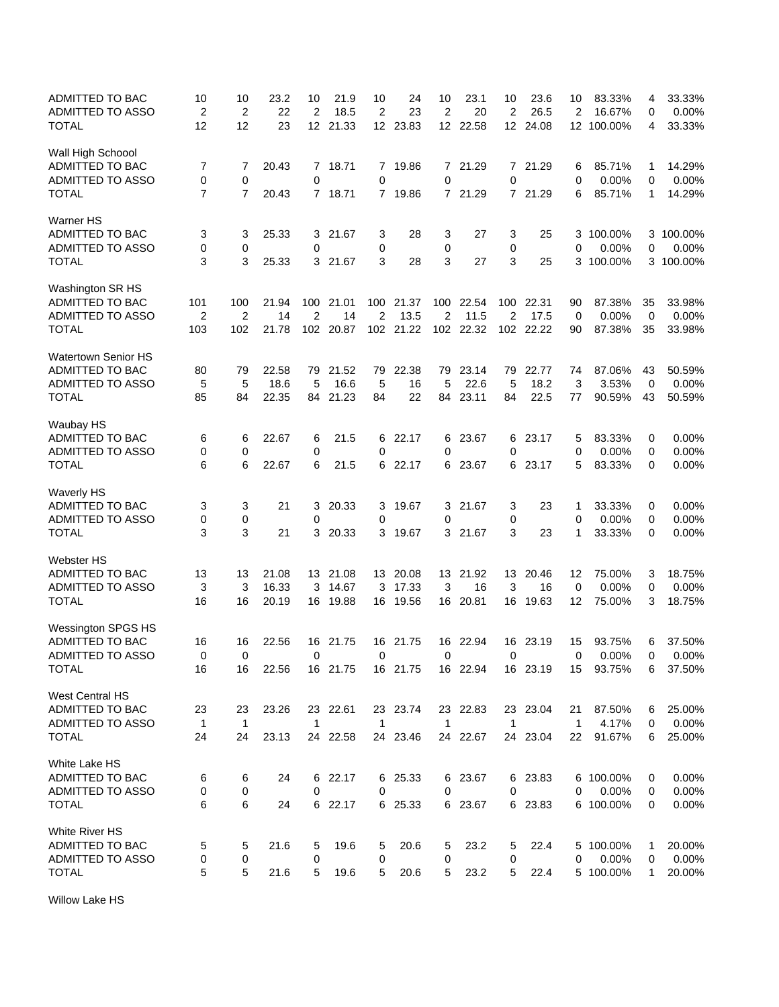| ADMITTED TO BAC<br>ADMITTED TO ASSO<br><b>TOTAL</b> | 10<br>2<br>12  | 10<br>$\overline{\mathbf{c}}$<br>12 | 23.2<br>22<br>23 | 10<br>$\overline{2}$<br>12 <sup>2</sup> | 21.9<br>18.5<br>21.33 | 10<br>$\overline{2}$<br>12 <sup>2</sup> | 24<br>23<br>23.83 | 10<br>2<br>12 | 23.1<br>20<br>22.58 | 10<br>$\overline{2}$<br>12 | 23.6<br>26.5<br>24.08 | 10<br>2<br>12 <sup>12</sup> | 83.33%<br>16.67%<br>100.00% | 4<br>0<br>4 | 33.33%<br>0.00%<br>33.33% |
|-----------------------------------------------------|----------------|-------------------------------------|------------------|-----------------------------------------|-----------------------|-----------------------------------------|-------------------|---------------|---------------------|----------------------------|-----------------------|-----------------------------|-----------------------------|-------------|---------------------------|
| Wall High Schoool                                   |                |                                     |                  |                                         |                       |                                         |                   |               |                     |                            |                       |                             |                             |             |                           |
| ADMITTED TO BAC                                     | 7              | 7                                   | 20.43            |                                         | 7 18.71               |                                         | 7 19.86           | 7             | 21.29               |                            | 7 21.29               | 6                           | 85.71%                      | 1           | 14.29%                    |
| <b>ADMITTED TO ASSO</b>                             | 0              | 0                                   |                  | 0                                       |                       | $\mathbf 0$                             |                   | 0             |                     | $\mathbf 0$                |                       | 0                           | 0.00%                       | 0           | 0.00%                     |
| <b>TOTAL</b>                                        | $\overline{7}$ | $\overline{7}$                      | 20.43            |                                         | 7 18.71               |                                         | 7 19.86           |               | 7 21.29             |                            | 7 21.29               | 6                           | 85.71%                      | 1           | 14.29%                    |
| Warner HS                                           |                |                                     |                  |                                         |                       |                                         |                   |               |                     |                            |                       |                             |                             |             |                           |
| ADMITTED TO BAC                                     | 3              | 3                                   | 25.33            | 3                                       | 21.67                 | 3                                       | 28                | 3             | 27                  | 3                          | 25                    |                             | 3 100.00%                   |             | 3 100.00%                 |
| ADMITTED TO ASSO                                    | 0              | 0                                   |                  | 0                                       |                       | 0                                       |                   | 0             |                     | 0                          |                       | 0                           | 0.00%                       | 0           | 0.00%                     |
| <b>TOTAL</b>                                        | 3              | 3                                   | 25.33            |                                         | 3 21.67               | 3                                       | 28                | 3             | 27                  | 3                          | 25                    |                             | 3 100.00%                   |             | 3 100.00%                 |
| Washington SR HS                                    |                |                                     |                  |                                         |                       |                                         |                   |               |                     |                            |                       |                             |                             |             |                           |
| ADMITTED TO BAC                                     | 101            | 100                                 | 21.94            | 100                                     | 21.01                 |                                         | 100 21.37         | 100           | 22.54               | 100                        | 22.31                 | 90                          | 87.38%                      | 35          | 33.98%                    |
| <b>ADMITTED TO ASSO</b>                             | $\overline{2}$ | $\overline{2}$                      | 14               | $\overline{2}$                          | 14                    | $\overline{2}$                          | 13.5              | 2             | 11.5                | 2                          | 17.5                  | $\mathbf 0$                 | 0.00%                       | 0           | 0.00%                     |
| <b>TOTAL</b>                                        | 103            | 102                                 | 21.78            |                                         | 102 20.87             |                                         | 102 21.22         |               | 102 22.32           |                            | 102 22.22             | 90                          | 87.38%                      | 35          | 33.98%                    |
| Watertown Senior HS                                 |                |                                     |                  |                                         |                       |                                         |                   |               |                     |                            |                       |                             |                             |             |                           |
| ADMITTED TO BAC                                     | 80             | 79                                  | 22.58            | 79                                      | 21.52                 | 79                                      | 22.38             | 79            | 23.14               | 79                         | 22.77                 | 74                          | 87.06%                      | 43          | 50.59%                    |
| ADMITTED TO ASSO                                    | 5              | 5                                   | 18.6             | 5                                       | 16.6                  | 5                                       | 16                | 5             | 22.6                | 5                          | 18.2                  | 3                           | 3.53%                       | 0           | 0.00%                     |
| <b>TOTAL</b>                                        | 85             | 84                                  | 22.35            | 84                                      | 21.23                 | 84                                      | 22                | 84            | 23.11               | 84                         | 22.5                  | 77                          | 90.59%                      | 43          | 50.59%                    |
| Waubay HS                                           |                |                                     |                  |                                         |                       |                                         |                   |               |                     |                            |                       |                             |                             |             |                           |
| ADMITTED TO BAC                                     | 6              | 6                                   | 22.67            | 6                                       | 21.5                  |                                         | 6 22.17           | 6             | 23.67               | 6                          | 23.17                 | 5                           | 83.33%                      | 0           | 0.00%                     |
| ADMITTED TO ASSO                                    | 0              | 0                                   |                  | 0                                       |                       | 0                                       |                   | 0             |                     | 0                          |                       | 0                           | 0.00%                       | 0           | 0.00%                     |
| <b>TOTAL</b>                                        | 6              | 6                                   | 22.67            | 6                                       | 21.5                  |                                         | 6 22.17           | 6             | 23.67               | 6                          | 23.17                 | 5                           | 83.33%                      | 0           | 0.00%                     |
| <b>Waverly HS</b>                                   |                |                                     |                  |                                         |                       |                                         |                   |               |                     |                            |                       |                             |                             |             |                           |
| ADMITTED TO BAC                                     | 3              | 3                                   | 21               | 3                                       | 20.33                 | 3                                       | 19.67             | 3             | 21.67               | 3                          | 23                    | 1                           | 33.33%                      | 0           | $0.00\%$                  |
| ADMITTED TO ASSO<br><b>TOTAL</b>                    | 0<br>3         | 0<br>3                              | 21               | 0<br>3                                  |                       | 0<br>3                                  |                   | 0<br>3        |                     | 0<br>3                     | 23                    | 0<br>1                      | 0.00%                       | 0<br>0      | 0.00%                     |
|                                                     |                |                                     |                  |                                         | 20.33                 |                                         | 19.67             |               | 21.67               |                            |                       |                             | 33.33%                      |             | 0.00%                     |
| <b>Webster HS</b>                                   |                |                                     |                  |                                         |                       |                                         |                   |               |                     |                            |                       |                             |                             |             |                           |
| ADMITTED TO BAC                                     | 13             | 13                                  | 21.08            |                                         | 13 21.08              |                                         | 13 20.08          |               | 13 21.92            | 13                         | 20.46                 | 12                          | 75.00%                      | 3           | 18.75%                    |
| ADMITTED TO ASSO                                    | 3              | 3                                   | 16.33            | 3                                       | 14.67                 | 3                                       | 17.33             | 3             | 16                  | 3                          | 16                    | 0                           | 0.00%                       | 0           | 0.00%                     |
| <b>TOTAL</b>                                        | 16             | 16                                  | 20.19            |                                         | 16 19.88              | 16                                      | 19.56             | 16            | 20.81               | 16                         | 19.63                 | 12                          | 75.00%                      | 3           | 18.75%                    |
| <b>Wessington SPGS HS</b>                           |                |                                     |                  |                                         |                       |                                         |                   |               |                     |                            |                       |                             |                             |             |                           |
| ADMITTED TO BAC                                     | 16             | 16                                  | 22.56            | 16                                      | 21.75                 | 16                                      | 21.75             | 16            | 22.94               | 16                         | 23.19                 | 15                          | 93.75%                      | 6           | 37.50%                    |
| ADMITTED TO ASSO                                    | $\Omega$       | 0                                   |                  | $\mathbf 0$                             |                       | $\Omega$                                |                   | 0             |                     | $\mathbf 0$                |                       | 0                           | 0.00%                       | $\Omega$    | 0.00%                     |
| <b>TOTAL</b>                                        | 16             | 16                                  | 22.56            |                                         | 16 21.75              |                                         | 16 21.75          |               | 16 22.94            |                            | 16 23.19              |                             | 15 93.75%                   | 6           | 37.50%                    |
| West Central HS                                     |                |                                     |                  |                                         |                       |                                         |                   |               |                     |                            |                       |                             |                             |             |                           |
| ADMITTED TO BAC                                     | 23             | 23                                  | 23.26            |                                         | 23 22.61              |                                         | 23 23.74          |               | 23 22.83            |                            | 23 23.04              | 21                          | 87.50%                      | 6           | 25.00%                    |
| ADMITTED TO ASSO                                    | $\overline{1}$ | $\mathbf{1}$                        |                  | $\mathbf{1}$                            |                       | $\mathbf{1}$                            |                   | $\mathbf{1}$  |                     | $\mathbf{1}$               |                       | 1                           | 4.17%                       | 0           | 0.00%                     |
| <b>TOTAL</b>                                        | 24             | 24                                  | 23.13            |                                         | 24 22.58              |                                         | 24 23.46          |               | 24 22.67            |                            | 24 23.04              | 22                          | 91.67%                      | 6           | 25.00%                    |
| White Lake HS                                       |                |                                     |                  |                                         |                       |                                         |                   |               |                     |                            |                       |                             |                             |             |                           |
| ADMITTED TO BAC                                     | 6              | 6                                   | 24               |                                         | 6 22.17               |                                         | 6 25.33           |               | 6 23.67             |                            | 6 23.83               |                             | 6 100.00%                   | 0           | 0.00%                     |
| ADMITTED TO ASSO                                    | 0              | 0                                   |                  | 0                                       |                       | 0                                       |                   | 0             |                     | 0                          |                       | 0                           | 0.00%                       | 0           | 0.00%                     |
| <b>TOTAL</b>                                        | 6              | 6                                   | 24               |                                         | 6 22.17               |                                         | 6 25.33           |               | 6 23.67             |                            | 6 23.83               |                             | 6 100.00%                   | 0           | 0.00%                     |
| White River HS                                      |                |                                     |                  |                                         |                       |                                         |                   |               |                     |                            |                       |                             |                             |             |                           |
| ADMITTED TO BAC                                     | 5              | 5                                   | 21.6             | 5                                       | 19.6                  | 5                                       | 20.6              | 5             | 23.2                | 5                          | 22.4                  |                             | 5 100.00%                   | 1           | 20.00%                    |
| ADMITTED TO ASSO                                    | 0              | 0                                   |                  | 0                                       |                       | 0                                       |                   | 0             |                     | 0                          |                       | 0                           | 0.00%                       | 0           | 0.00%                     |
| <b>TOTAL</b>                                        | 5              | 5                                   | 21.6             | 5                                       | 19.6                  | 5                                       | 20.6              | 5             | 23.2                | 5                          | 22.4                  |                             | 5 100.00%                   | 1           | 20.00%                    |

Willow Lake HS